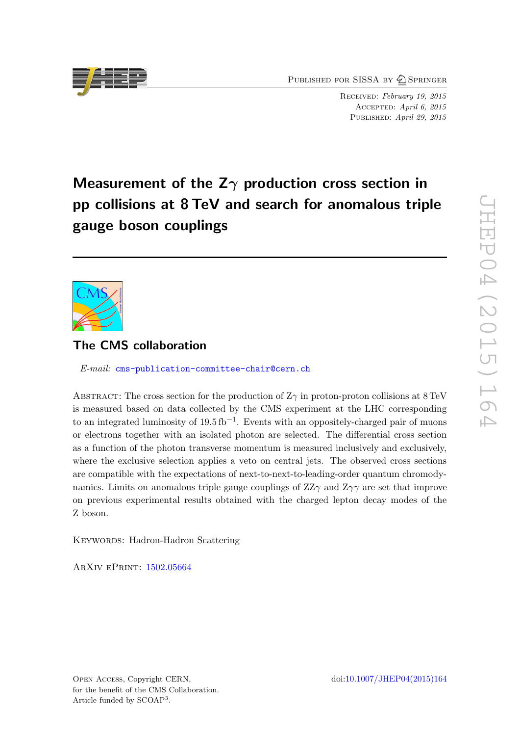PUBLISHED FOR SISSA BY 2 SPRINGER

Received: February 19, 2015 Accepted: April 6, 2015 PUBLISHED: April 29, 2015

# Measurement of the  $Z\gamma$  production cross section in pp collisions at 8 TeV and search for anomalous triple gauge boson couplings



# The CMS collaboration

E-mail: [cms-publication-committee-chair@cern.ch](mailto:cms-publication-committee-chair@cern.ch)

ABSTRACT: The cross section for the production of  $Z_{\gamma}$  in proton-proton collisions at 8 TeV is measured based on data collected by the CMS experiment at the LHC corresponding to an integrated luminosity of  $19.5 \text{ fb}^{-1}$ . Events with an oppositely-charged pair of muons or electrons together with an isolated photon are selected. The differential cross section as a function of the photon transverse momentum is measured inclusively and exclusively, where the exclusive selection applies a veto on central jets. The observed cross sections are compatible with the expectations of next-to-next-to-leading-order quantum chromodynamics. Limits on anomalous triple gauge couplings of  $ZZ\gamma$  and  $Z\gamma\gamma$  are set that improve on previous experimental results obtained with the charged lepton decay modes of the Z boson.

KEYWORDS: Hadron-Hadron Scattering

ArXiv ePrint: [1502.05664](http://arxiv.org/abs/1502.05664)

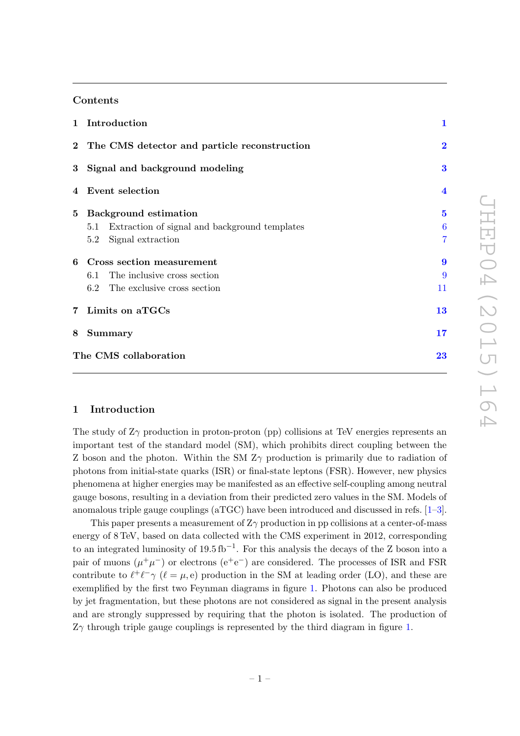# Contents

|   | 1 Introduction                                       | $\mathbf{1}$            |
|---|------------------------------------------------------|-------------------------|
|   | 2 The CMS detector and particle reconstruction       | $\overline{2}$          |
|   | 3 Signal and background modeling                     |                         |
|   | 4 Event selection                                    | $\overline{\mathbf{4}}$ |
| 5 | <b>Background estimation</b>                         | $\mathbf{5}$            |
|   | Extraction of signal and background templates<br>5.1 | 6                       |
|   | Signal extraction<br>5.2                             | 7                       |
| 6 | Cross section measurement                            | $\boldsymbol{9}$        |
|   | The inclusive cross section<br>6.1                   | 9                       |
|   | 6.2 The exclusive cross section                      | 11                      |
|   | 7 Limits on aTGCs                                    | 13                      |
| 8 | Summary                                              | 17                      |
|   | The CMS collaboration                                | 23                      |

### <span id="page-1-0"></span>1 Introduction

The study of  $Z\gamma$  production in proton-proton (pp) collisions at TeV energies represents an important test of the standard model (SM), which prohibits direct coupling between the Z boson and the photon. Within the SM  $Z_{\gamma}$  production is primarily due to radiation of photons from initial-state quarks (ISR) or final-state leptons (FSR). However, new physics phenomena at higher energies may be manifested as an effective self-coupling among neutral gauge bosons, resulting in a deviation from their predicted zero values in the SM. Models of anomalous triple gauge couplings  $(aTGC)$  have been introduced and discussed in refs.  $[1-3]$  $[1-3]$ .

This paper presents a measurement of  $Z\gamma$  production in pp collisions at a center-of-mass energy of 8 TeV, based on data collected with the CMS experiment in 2012, corresponding to an integrated luminosity of 19.5 fb<sup>-1</sup>. For this analysis the decays of the Z boson into a pair of muons  $(\mu^+\mu^-)$  or electrons (e<sup>+</sup>e<sup>-</sup>) are considered. The processes of ISR and FSR contribute to  $\ell^+ \ell^- \gamma$  ( $\ell = \mu$ , e) production in the SM at leading order (LO), and these are exemplified by the first two Feynman diagrams in figure [1.](#page-2-1) Photons can also be produced by jet fragmentation, but these photons are not considered as signal in the present analysis and are strongly suppressed by requiring that the photon is isolated. The production of  $Z_{\gamma}$  through triple gauge couplings is represented by the third diagram in figure [1.](#page-2-1)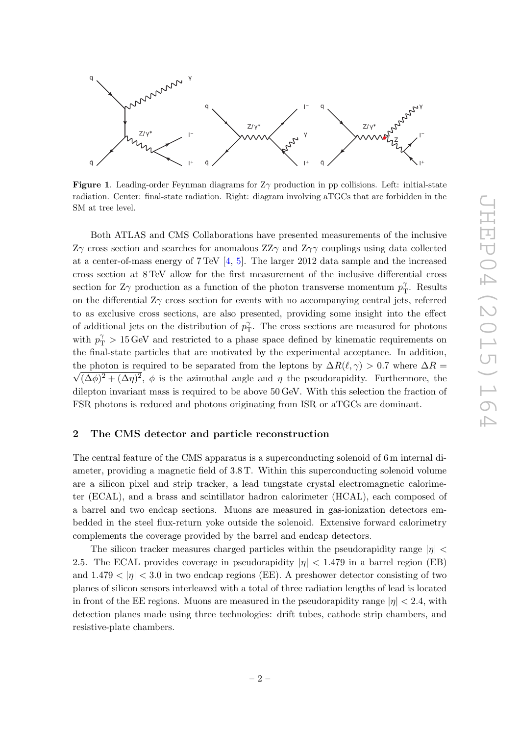

<span id="page-2-1"></span>**Figure 1.** Leading-order Feynman diagrams for  $Z_{\gamma}$  production in pp collisions. Left: initial-state radiation. Center: final-state radiation. Right: diagram involving aTGCs that are forbidden in the SM at tree level.

Both ATLAS and CMS Collaborations have presented measurements of the inclusive  $Z\gamma$  cross section and searches for anomalous  $Z\gamma$  and  $Z\gamma\gamma$  couplings using data collected at a center-of-mass energy of  $7 \text{ TeV}$  [\[4,](#page-20-2) [5\]](#page-20-3). The larger 2012 data sample and the increased cross section at 8 TeV allow for the first measurement of the inclusive differential cross section for  $Z\gamma$  production as a function of the photon transverse momentum  $p_{\rm T}^2$  $T_T$ . Results on the differential  $Z\gamma$  cross section for events with no accompanying central jets, referred to as exclusive cross sections, are also presented, providing some insight into the effect of additional jets on the distribution of  $p_{\rm T}^{\gamma}$  $T_{\rm T}^{\gamma}$ . The cross sections are measured for photons with  $p_T^{\gamma} > 15 \,\text{GeV}$  and restricted to a phase space defined by kinematic requirements on the final-state particles that are motivated by the experimental acceptance. In addition, the photon is required to be separated from the leptons by  $\Delta R(\ell, \gamma) > 0.7$  where  $\Delta R =$  $(\Delta \phi)^2 + (\Delta \eta)^2$ ,  $\phi$  is the azimuthal angle and  $\eta$  the pseudorapidity. Furthermore, the dilepton invariant mass is required to be above 50 GeV. With this selection the fraction of FSR photons is reduced and photons originating from ISR or aTGCs are dominant.

# <span id="page-2-0"></span>2 The CMS detector and particle reconstruction

The central feature of the CMS apparatus is a superconducting solenoid of 6 m internal diameter, providing a magnetic field of 3.8 T. Within this superconducting solenoid volume are a silicon pixel and strip tracker, a lead tungstate crystal electromagnetic calorimeter (ECAL), and a brass and scintillator hadron calorimeter (HCAL), each composed of a barrel and two endcap sections. Muons are measured in gas-ionization detectors embedded in the steel flux-return yoke outside the solenoid. Extensive forward calorimetry complements the coverage provided by the barrel and endcap detectors.

The silicon tracker measures charged particles within the pseudorapidity range  $|\eta|$ 2.5. The ECAL provides coverage in pseudorapidity  $|\eta| < 1.479$  in a barrel region (EB) and  $1.479 < |\eta| < 3.0$  in two endcap regions (EE). A preshower detector consisting of two planes of silicon sensors interleaved with a total of three radiation lengths of lead is located in front of the EE regions. Muons are measured in the pseudorapidity range  $|\eta| < 2.4$ , with detection planes made using three technologies: drift tubes, cathode strip chambers, and resistive-plate chambers.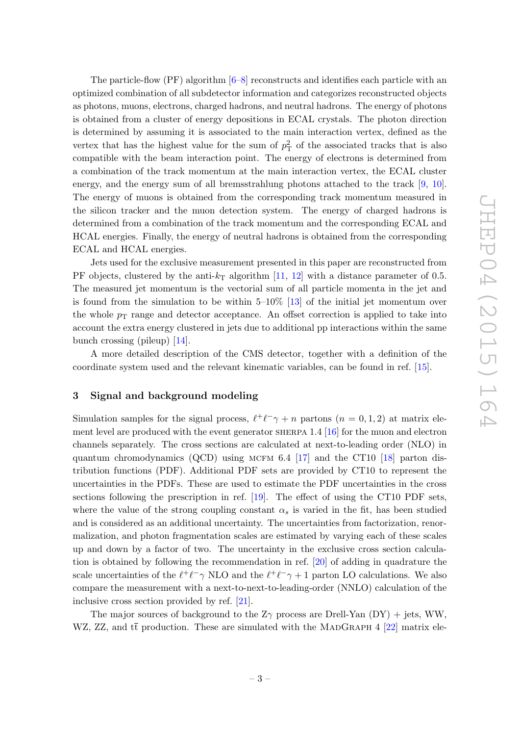The particle-flow  $(PF)$  algorithm  $[6–8]$  $[6–8]$  reconstructs and identifies each particle with an optimized combination of all subdetector information and categorizes reconstructed objects as photons, muons, electrons, charged hadrons, and neutral hadrons. The energy of photons is obtained from a cluster of energy depositions in ECAL crystals. The photon direction is determined by assuming it is associated to the main interaction vertex, defined as the vertex that has the highest value for the sum of  $p_T^2$  of the associated tracks that is also compatible with the beam interaction point. The energy of electrons is determined from a combination of the track momentum at the main interaction vertex, the ECAL cluster energy, and the energy sum of all bremsstrahlung photons attached to the track [\[9,](#page-20-6) [10\]](#page-20-7). The energy of muons is obtained from the corresponding track momentum measured in the silicon tracker and the muon detection system. The energy of charged hadrons is determined from a combination of the track momentum and the corresponding ECAL and HCAL energies. Finally, the energy of neutral hadrons is obtained from the corresponding ECAL and HCAL energies.

Jets used for the exclusive measurement presented in this paper are reconstructed from PF objects, clustered by the anti- $k_T$  algorithm [\[11,](#page-20-8) [12\]](#page-20-9) with a distance parameter of 0.5. The measured jet momentum is the vectorial sum of all particle momenta in the jet and is found from the simulation to be within 5–10% [\[13\]](#page-20-10) of the initial jet momentum over the whole  $p_T$  range and detector acceptance. An offset correction is applied to take into account the extra energy clustered in jets due to additional pp interactions within the same bunch crossing (pileup) [\[14\]](#page-20-11).

A more detailed description of the CMS detector, together with a definition of the coordinate system used and the relevant kinematic variables, can be found in ref. [\[15\]](#page-20-12).

# <span id="page-3-0"></span>3 Signal and background modeling

Simulation samples for the signal process,  $\ell^+ \ell^- \gamma + n$  partons  $(n = 0, 1, 2)$  at matrix element level are produced with the event generator sherpa 1.4 [\[16\]](#page-20-13) for the muon and electron channels separately. The cross sections are calculated at next-to-leading order (NLO) in quantum chromodynamics (QCD) using MCFM 6.4 [\[17\]](#page-20-14) and the CT10 [\[18\]](#page-20-15) parton distribution functions (PDF). Additional PDF sets are provided by CT10 to represent the uncertainties in the PDFs. These are used to estimate the PDF uncertainties in the cross sections following the prescription in ref. [\[19\]](#page-20-16). The effect of using the CT10 PDF sets, where the value of the strong coupling constant  $\alpha_s$  is varied in the fit, has been studied and is considered as an additional uncertainty. The uncertainties from factorization, renormalization, and photon fragmentation scales are estimated by varying each of these scales up and down by a factor of two. The uncertainty in the exclusive cross section calculation is obtained by following the recommendation in ref. [\[20\]](#page-21-0) of adding in quadrature the scale uncertainties of the  $\ell^+\ell^-\gamma$  NLO and the  $\ell^+\ell^-\gamma + 1$  parton LO calculations. We also compare the measurement with a next-to-next-to-leading-order (NNLO) calculation of the inclusive cross section provided by ref. [\[21\]](#page-21-1).

The major sources of background to the  $Z\gamma$  process are Drell-Yan (DY) + jets, WW, WZ, ZZ, and  $t\bar{t}$  production. These are simulated with the MADGRAPH 4 [\[22\]](#page-21-2) matrix ele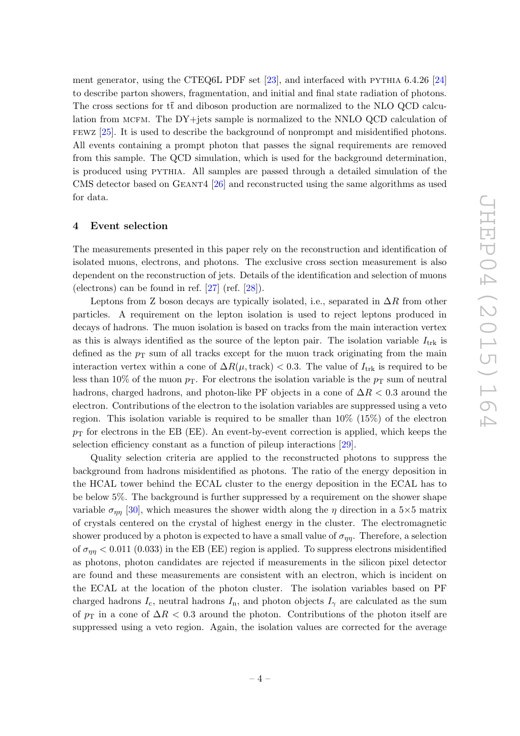ment generator, using the CTEQ6L PDF set [\[23\]](#page-21-3), and interfaced with pythia 6.4.26 [\[24\]](#page-21-4) to describe parton showers, fragmentation, and initial and final state radiation of photons. The cross sections for  $t\bar{t}$  and diboson production are normalized to the NLO QCD calculation from MCFM. The DY+jets sample is normalized to the NNLO QCD calculation of fewz [\[25\]](#page-21-5). It is used to describe the background of nonprompt and misidentified photons. All events containing a prompt photon that passes the signal requirements are removed from this sample. The QCD simulation, which is used for the background determination, is produced using pythia. All samples are passed through a detailed simulation of the CMS detector based on Geant4 [\[26\]](#page-21-6) and reconstructed using the same algorithms as used for data.

#### <span id="page-4-0"></span>4 Event selection

The measurements presented in this paper rely on the reconstruction and identification of isolated muons, electrons, and photons. The exclusive cross section measurement is also dependent on the reconstruction of jets. Details of the identification and selection of muons (electrons) can be found in ref. [\[27\]](#page-21-7) (ref. [\[28\]](#page-21-8)).

Leptons from Z boson decays are typically isolated, i.e., separated in  $\Delta R$  from other particles. A requirement on the lepton isolation is used to reject leptons produced in decays of hadrons. The muon isolation is based on tracks from the main interaction vertex as this is always identified as the source of the lepton pair. The isolation variable  $I_{trk}$  is defined as the  $p_T$  sum of all tracks except for the muon track originating from the main interaction vertex within a cone of  $\Delta R(\mu, \text{track}) < 0.3$ . The value of  $I_{\text{trk}}$  is required to be less than 10% of the muon  $p<sub>T</sub>$ . For electrons the isolation variable is the  $p<sub>T</sub>$  sum of neutral hadrons, charged hadrons, and photon-like PF objects in a cone of  $\Delta R < 0.3$  around the electron. Contributions of the electron to the isolation variables are suppressed using a veto region. This isolation variable is required to be smaller than 10% (15%) of the electron  $p<sub>T</sub>$  for electrons in the EB (EE). An event-by-event correction is applied, which keeps the selection efficiency constant as a function of pileup interactions [\[29\]](#page-21-9).

Quality selection criteria are applied to the reconstructed photons to suppress the background from hadrons misidentified as photons. The ratio of the energy deposition in the HCAL tower behind the ECAL cluster to the energy deposition in the ECAL has to be below 5%. The background is further suppressed by a requirement on the shower shape variable  $\sigma_{\eta\eta}$  [\[30\]](#page-21-10), which measures the shower width along the  $\eta$  direction in a 5×5 matrix of crystals centered on the crystal of highest energy in the cluster. The electromagnetic shower produced by a photon is expected to have a small value of  $\sigma_{\eta\eta}$ . Therefore, a selection of  $\sigma_{nn}$  < 0.011 (0.033) in the EB (EE) region is applied. To suppress electrons misidentified as photons, photon candidates are rejected if measurements in the silicon pixel detector are found and these measurements are consistent with an electron, which is incident on the ECAL at the location of the photon cluster. The isolation variables based on PF charged hadrons  $I_c$ , neutral hadrons  $I_n$ , and photon objects  $I_{\gamma}$  are calculated as the sum of  $p_T$  in a cone of  $\Delta R < 0.3$  around the photon. Contributions of the photon itself are suppressed using a veto region. Again, the isolation values are corrected for the average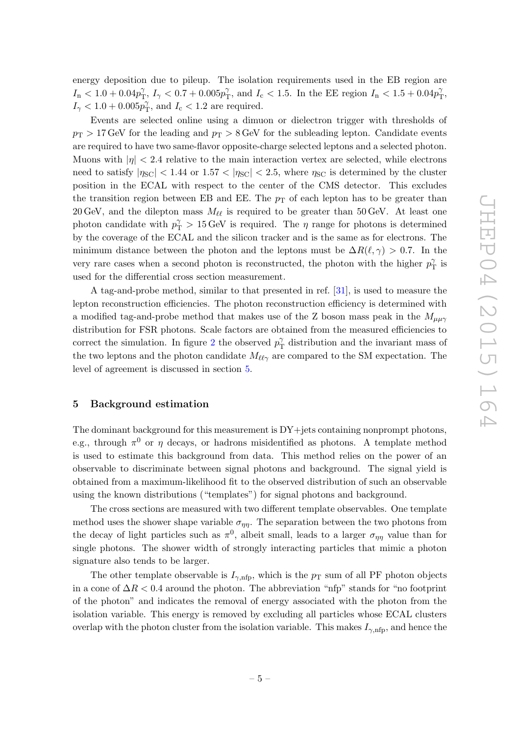energy deposition due to pileup. The isolation requirements used in the EB region are  $I_{\rm n} < 1.0 + 0.04 p_{\rm T}^{\gamma}$  $T_{\rm T}^{\gamma}$ ,  $I_{\gamma} < 0.7 + 0.005 p_{\rm T}^{\gamma}$  $T_{\rm T}^{\gamma}$ , and  $I_{\rm c}$  < 1.5. In the EE region  $I_{\rm n}$  < 1.5 + 0.04 $p_{\rm T}^{\gamma}$  $\tilde{\mathrm{T}},$  $I_\gamma < 1.0 + 0.005 p_\textnormal{T}^\gamma$  $T_{\rm T}$ , and  $I_{\rm c}$  < 1.2 are required.

Events are selected online using a dimuon or dielectron trigger with thresholds of  $p_{\rm T} > 17$  GeV for the leading and  $p_{\rm T} > 8$  GeV for the subleading lepton. Candidate events are required to have two same-flavor opposite-charge selected leptons and a selected photon. Muons with  $|\eta| < 2.4$  relative to the main interaction vertex are selected, while electrons need to satisfy  $|\eta_{\rm SC}| < 1.44$  or  $1.57 < |\eta_{\rm SC}| < 2.5$ , where  $\eta_{\rm SC}$  is determined by the cluster position in the ECAL with respect to the center of the CMS detector. This excludes the transition region between EB and EE. The  $p<sub>T</sub>$  of each lepton has to be greater than 20 GeV, and the dilepton mass  $M_{\ell\ell}$  is required to be greater than 50 GeV. At least one photon candidate with  $p_T^{\gamma} > 15 \,\text{GeV}$  is required. The  $\eta$  range for photons is determined by the coverage of the ECAL and the silicon tracker and is the same as for electrons. The minimum distance between the photon and the leptons must be  $\Delta R(\ell, \gamma) > 0.7$ . In the very rare cases when a second photon is reconstructed, the photon with the higher  $p_1^2$  $T$  is used for the differential cross section measurement.

A tag-and-probe method, similar to that presented in ref. [\[31\]](#page-21-11), is used to measure the lepton reconstruction efficiencies. The photon reconstruction efficiency is determined with a modified tag-and-probe method that makes use of the Z boson mass peak in the  $M_{\mu\nu\gamma}$ distribution for FSR photons. Scale factors are obtained from the measured efficiencies to correct the simulation. In figure [2](#page-6-1) the observed  $p_{\rm T}^2$  $\gamma$ <sup> $\gamma$ </sup> distribution and the invariant mass of the two leptons and the photon candidate  $M_{\ell\ell\gamma}$  are compared to the SM expectation. The level of agreement is discussed in section [5.](#page-5-0)

## <span id="page-5-0"></span>5 Background estimation

The dominant background for this measurement is  $DY+jets$  containing nonprompt photons, e.g., through  $\pi^0$  or  $\eta$  decays, or hadrons misidentified as photons. A template method is used to estimate this background from data. This method relies on the power of an observable to discriminate between signal photons and background. The signal yield is obtained from a maximum-likelihood fit to the observed distribution of such an observable using the known distributions ("templates") for signal photons and background.

The cross sections are measured with two different template observables. One template method uses the shower shape variable  $\sigma_{nn}$ . The separation between the two photons from the decay of light particles such as  $\pi^0$ , albeit small, leads to a larger  $\sigma_{\eta\eta}$  value than for single photons. The shower width of strongly interacting particles that mimic a photon signature also tends to be larger.

The other template observable is  $I_{\gamma,\text{nfp}}$ , which is the  $p_T$  sum of all PF photon objects in a cone of  $\Delta R < 0.4$  around the photon. The abbreviation "nfp" stands for "no footprint of the photon" and indicates the removal of energy associated with the photon from the isolation variable. This energy is removed by excluding all particles whose ECAL clusters overlap with the photon cluster from the isolation variable. This makes  $I_{\gamma,\text{nfp}}$ , and hence the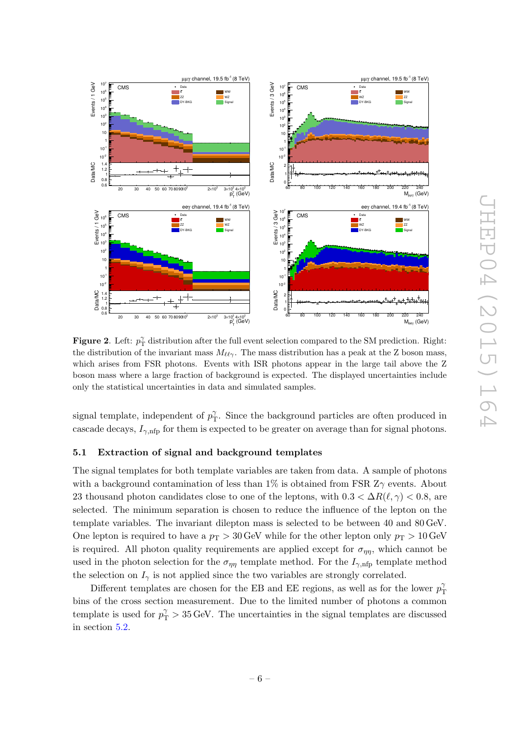

<span id="page-6-1"></span>**Figure 2.** Left:  $p_T^{\gamma}$  distribution after the full event selection compared to the SM prediction. Right: the distribution of the invariant mass  $M_{\ell\ell\gamma}$ . The mass distribution has a peak at the Z boson mass, which arises from FSR photons. Events with ISR photons appear in the large tail above the Z boson mass where a large fraction of background is expected. The displayed uncertainties include only the statistical uncertainties in data and simulated samples.

signal template, independent of  $p_{\rm T}^{\gamma}$  $T<sub>T</sub>$ . Since the background particles are often produced in cascade decays,  $I_{\gamma, \text{nfp}}$  for them is expected to be greater on average than for signal photons.

#### <span id="page-6-0"></span>5.1 Extraction of signal and background templates

The signal templates for both template variables are taken from data. A sample of photons with a background contamination of less than  $1\%$  is obtained from FSR  $Z\gamma$  events. About 23 thousand photon candidates close to one of the leptons, with  $0.3 < \Delta R(\ell, \gamma) < 0.8$ , are selected. The minimum separation is chosen to reduce the influence of the lepton on the template variables. The invariant dilepton mass is selected to be between 40 and 80 GeV. One lepton is required to have a  $p_T > 30$  GeV while for the other lepton only  $p_T > 10$  GeV is required. All photon quality requirements are applied except for  $\sigma_{\eta\eta}$ , which cannot be used in the photon selection for the  $\sigma_{\eta\eta}$  template method. For the  $I_{\gamma,\text{nfp}}$  template method the selection on  $I_{\gamma}$  is not applied since the two variables are strongly correlated.

Different templates are chosen for the EB and EE regions, as well as for the lower  $p_{\rm T}^2$ T bins of the cross section measurement. Due to the limited number of photons a common template is used for  $p_T^{\gamma} > 35 \,\text{GeV}$ . The uncertainties in the signal templates are discussed in section [5.2.](#page-7-0)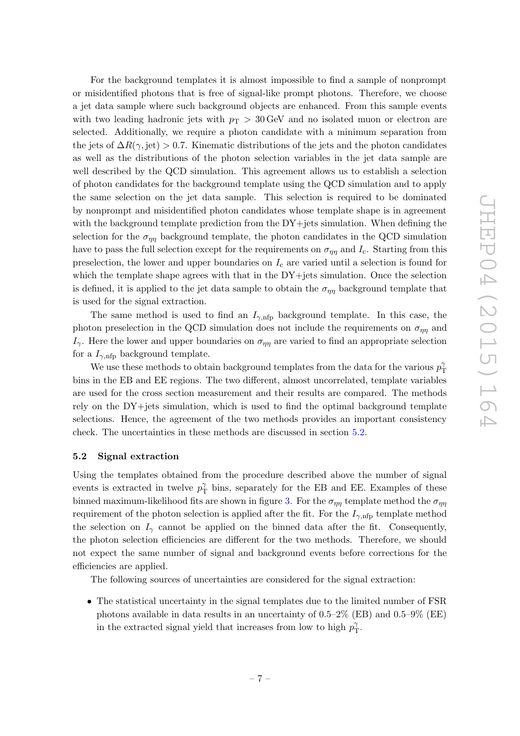For the background templates it is almost impossible to find a sample of nonprompt or misidentified photons that is free of signal-like prompt photons. Therefore, we choose a jet data sample where such background objects are enhanced. From this sample events with two leading hadronic jets with  $p_T > 30$  GeV and no isolated muon or electron are selected. Additionally, we require a photon candidate with a minimum separation from the jets of  $\Delta R(\gamma, jet) > 0.7$ . Kinematic distributions of the jets and the photon candidates as well as the distributions of the photon selection variables in the jet data sample are well described by the QCD simulation. This agreement allows us to establish a selection of photon candidates for the background template using the QCD simulation and to apply the same selection on the jet data sample. This selection is required to be dominated by nonprompt and misidentified photon candidates whose template shape is in agreement with the background template prediction from the DY+jets simulation. When defining the selection for the  $\sigma_{\eta\eta}$  background template, the photon candidates in the QCD simulation have to pass the full selection except for the requirements on  $\sigma_{\eta\eta}$  and  $I_c$ . Starting from this preselection, the lower and upper boundaries on  $I_c$  are varied until a selection is found for which the template shape agrees with that in the DY+jets simulation. Once the selection is defined, it is applied to the jet data sample to obtain the  $\sigma_{\eta\eta}$  background template that is used for the signal extraction.

The same method is used to find an  $I_{\gamma,\text{nfp}}$  background template. In this case, the photon preselection in the QCD simulation does not include the requirements on  $\sigma_{\eta\eta}$  and  $I_{\gamma}$ . Here the lower and upper boundaries on  $\sigma_{\eta\eta}$  are varied to find an appropriate selection for a  $I_{\gamma,\text{nfp}}$  background template.

We use these methods to obtain background templates from the data for the various  $p_{\rm T}^2$ T bins in the EB and EE regions. The two different, almost uncorrelated, template variables are used for the cross section measurement and their results are compared. The methods rely on the DY+jets simulation, which is used to find the optimal background template selections. Hence, the agreement of the two methods provides an important consistency check. The uncertainties in these methods are discussed in section [5.2.](#page-7-0)

#### <span id="page-7-0"></span>5.2 Signal extraction

Using the templates obtained from the procedure described above the number of signal events is extracted in twelve  $p_{\rm T}^{\gamma}$  $\gamma_{\rm T}^{\gamma}$  bins, separately for the EB and EE. Examples of these binned maximum-likelihood fits are shown in figure [3.](#page-8-0) For the  $\sigma_{nn}$  template method the  $\sigma_{nn}$ requirement of the photon selection is applied after the fit. For the  $I_{\gamma,\text{nfp}}$  template method the selection on  $I_{\gamma}$  cannot be applied on the binned data after the fit. Consequently, the photon selection efficiencies are different for the two methods. Therefore, we should not expect the same number of signal and background events before corrections for the efficiencies are applied.

The following sources of uncertainties are considered for the signal extraction:

• The statistical uncertainty in the signal templates due to the limited number of FSR photons available in data results in an uncertainty of 0.5–2% (EB) and 0.5–9% (EE) in the extracted signal yield that increases from low to high  $p_1^2$  $\frac{\gamma}{\rm T}.$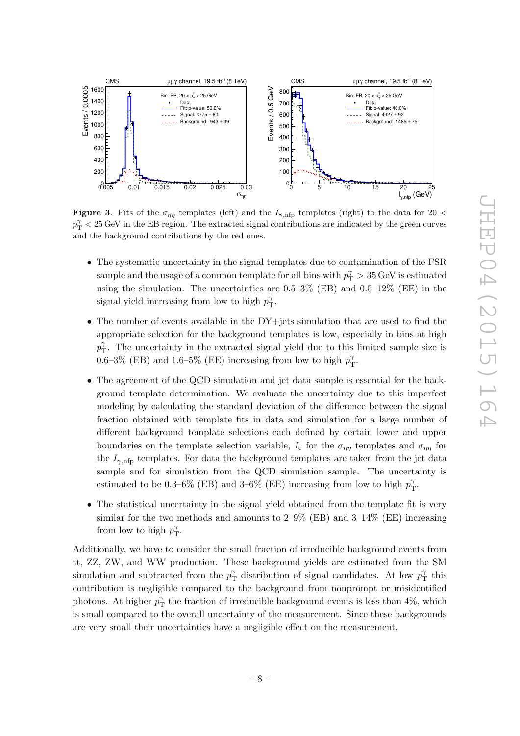

<span id="page-8-0"></span>**Figure 3.** Fits of the  $\sigma_{\eta\eta}$  templates (left) and the  $I_{\gamma,\text{nfp}}$  templates (right) to the data for 20 <  $p_T^{\gamma} < 25\,\text{GeV}$  in the EB region. The extracted signal contributions are indicated by the green curves and the background contributions by the red ones.

- The systematic uncertainty in the signal templates due to contamination of the FSR sample and the usage of a common template for all bins with  $p_T^{\gamma} > 35\,\text{GeV}$  is estimated using the simulation. The uncertainties are  $0.5-3\%$  (EB) and  $0.5-12\%$  (EE) in the signal yield increasing from low to high  $p_{\rm T}^{\gamma}$  $_{\rm T}^{\gamma}.$
- The number of events available in the DY+jets simulation that are used to find the appropriate selection for the background templates is low, especially in bins at high  $p_{\rm T}^{\gamma}$  $T_{\rm T}$ . The uncertainty in the extracted signal yield due to this limited sample size is 0.6–3% (EB) and 1.6–5% (EE) increasing from low to high  $p_1^2$  $\frac{\gamma}{\rm T}.$
- The agreement of the QCD simulation and jet data sample is essential for the background template determination. We evaluate the uncertainty due to this imperfect modeling by calculating the standard deviation of the difference between the signal fraction obtained with template fits in data and simulation for a large number of different background template selections each defined by certain lower and upper boundaries on the template selection variable,  $I_c$  for the  $\sigma_{\eta\eta}$  templates and  $\sigma_{\eta\eta}$  for the  $I_{\gamma,\text{nfp}}$  templates. For data the background templates are taken from the jet data sample and for simulation from the QCD simulation sample. The uncertainty is estimated to be 0.3–6% (EB) and 3–6% (EE) increasing from low to high  $p_1^2$  $\int_{\rm T}^{\gamma}$
- The statistical uncertainty in the signal yield obtained from the template fit is very similar for the two methods and amounts to  $2-9\%$  (EB) and  $3-14\%$  (EE) increasing from low to high  $p_{\rm T}^{\gamma}$  $\Upsilon^{\gamma}$

Additionally, we have to consider the small fraction of irreducible background events from  $t\bar{t}$ , ZZ, ZW, and WW production. These background yields are estimated from the SM simulation and subtracted from the  $p_{\rm T}^{\gamma}$  $p_T^{\gamma}$  distribution of signal candidates. At low  $p_T^{\gamma}$  $T$  this contribution is negligible compared to the background from nonprompt or misidentified photons. At higher  $p_{\rm T}^{\gamma}$  $\gamma_{\rm T}^{\gamma}$  the fraction of irreducible background events is less than 4%, which is small compared to the overall uncertainty of the measurement. Since these backgrounds are very small their uncertainties have a negligible effect on the measurement.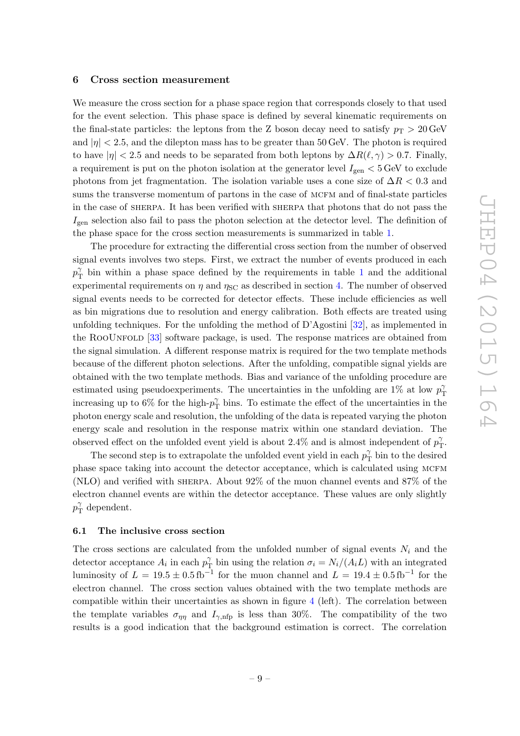#### <span id="page-9-0"></span>6 Cross section measurement

We measure the cross section for a phase space region that corresponds closely to that used for the event selection. This phase space is defined by several kinematic requirements on the final-state particles: the leptons from the Z boson decay need to satisfy  $p<sub>T</sub> > 20$  GeV and  $|\eta| < 2.5$ , and the dilepton mass has to be greater than 50 GeV. The photon is required to have  $|\eta| < 2.5$  and needs to be separated from both leptons by  $\Delta R(\ell, \gamma) > 0.7$ . Finally, a requirement is put on the photon isolation at the generator level  $I_{gen} < 5 \text{ GeV}$  to exclude photons from jet fragmentation. The isolation variable uses a cone size of  $\Delta R < 0.3$  and sums the transverse momentum of partons in the case of MCFM and of final-state particles in the case of sherpa. It has been verified with sherpa that photons that do not pass the  $I_{gen}$  selection also fail to pass the photon selection at the detector level. The definition of the phase space for the cross section measurements is summarized in table [1.](#page-10-0)

The procedure for extracting the differential cross section from the number of observed signal events involves two steps. First, we extract the number of events produced in each  $p_{\rm T}^{\gamma}$  $\gamma_{\rm T}^{\gamma}$  bin within a phase space defined by the requirements in table [1](#page-10-0) and the additional experimental requirements on  $\eta$  and  $\eta_{SC}$  as described in section [4.](#page-4-0) The number of observed signal events needs to be corrected for detector effects. These include efficiencies as well as bin migrations due to resolution and energy calibration. Both effects are treated using unfolding techniques. For the unfolding the method of D'Agostini [\[32\]](#page-21-12), as implemented in the RooUnfold [\[33\]](#page-21-13) software package, is used. The response matrices are obtained from the signal simulation. A different response matrix is required for the two template methods because of the different photon selections. After the unfolding, compatible signal yields are obtained with the two template methods. Bias and variance of the unfolding procedure are estimated using pseudoexperiments. The uncertainties in the unfolding are  $1\%$  at low  $p_{\rm T}^2$ T increasing up to 6% for the high- $p_{\rm T}^{\gamma}$  $\gamma_{\rm T}^{\gamma}$  bins. To estimate the effect of the uncertainties in the photon energy scale and resolution, the unfolding of the data is repeated varying the photon energy scale and resolution in the response matrix within one standard deviation. The observed effect on the unfolded event yield is about 2.4% and is almost independent of  $p_1^2$  $\frac{\gamma}{\rm T}.$ 

The second step is to extrapolate the unfolded event yield in each  $p_{\rm T}^2$  $\int_{\mathcal{T}}^{\gamma}$  bin to the desired phase space taking into account the detector acceptance, which is calculated using MCFM (NLO) and verified with sherpa. About 92% of the muon channel events and 87% of the electron channel events are within the detector acceptance. These values are only slightly  $p_{\rm T}^{\gamma}$  $T_{\rm T}$  dependent.

#### <span id="page-9-1"></span>6.1 The inclusive cross section

The cross sections are calculated from the unfolded number of signal events  $N_i$  and the detector acceptance  $A_i$  in each  $p_1^{\gamma}$  $\sigma_{\text{T}}^{\gamma}$  bin using the relation  $\sigma_i = N_i/(A_i L)$  with an integrated luminosity of  $L = 19.5 \pm 0.5$  fb<sup>-1</sup> for the muon channel and  $L = 19.4 \pm 0.5$  fb<sup>-1</sup> for the electron channel. The cross section values obtained with the two template methods are compatible within their uncertainties as shown in figure [4](#page-10-1) (left). The correlation between the template variables  $\sigma_{\eta\eta}$  and  $I_{\gamma,\text{nfp}}$  is less than 30%. The compatibility of the two results is a good indication that the background estimation is correct. The correlation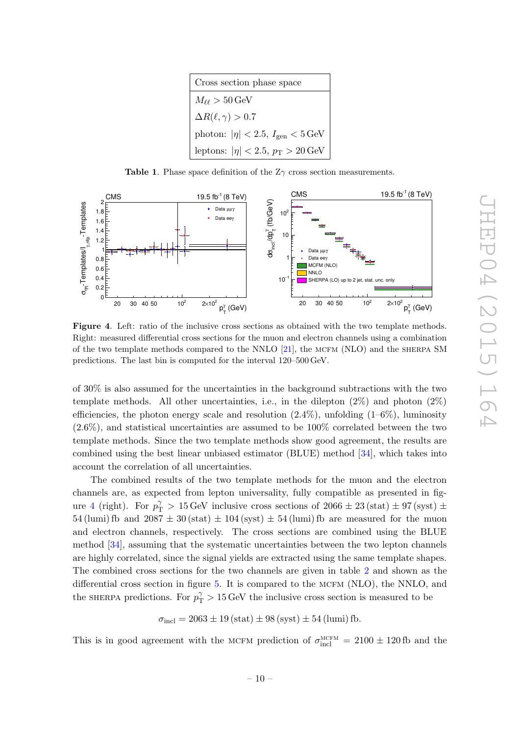| Cross section phase space                                 |  |  |  |
|-----------------------------------------------------------|--|--|--|
| $M_{\ell\ell} > 50 \,\text{GeV}$                          |  |  |  |
| $\Delta R(\ell,\gamma) > 0.7$                             |  |  |  |
| photon: $ \eta  < 2.5$ , $I_{\text{gen}} < 5 \text{ GeV}$ |  |  |  |
| leptons: $ \eta  < 2.5$ , $p_T > 20$ GeV                  |  |  |  |

<span id="page-10-0"></span>Table 1. Phase space definition of the  $Z_{\gamma}$  cross section measurements.



<span id="page-10-1"></span>Figure 4. Left: ratio of the inclusive cross sections as obtained with the two template methods. Right: measured differential cross sections for the muon and electron channels using a combination of the two template methods compared to the NNLO [\[21\]](#page-21-1), the mcfm (NLO) and the sherpa SM predictions. The last bin is computed for the interval 120–500 GeV.

of 30% is also assumed for the uncertainties in the background subtractions with the two template methods. All other uncertainties, i.e., in the dilepton  $(2\%)$  and photon  $(2\%)$ efficiencies, the photon energy scale and resolution  $(2.4\%)$ , unfolding  $(1-6\%)$ , luminosity (2.6%), and statistical uncertainties are assumed to be 100% correlated between the two template methods. Since the two template methods show good agreement, the results are combined using the best linear unbiased estimator (BLUE) method [\[34\]](#page-21-14), which takes into account the correlation of all uncertainties.

The combined results of the two template methods for the muon and the electron channels are, as expected from lepton universality, fully compatible as presented in fig-ure [4](#page-10-1) (right). For  $p_T^{\gamma} > 15 \,\text{GeV}$  inclusive cross sections of  $2066 \pm 23 \,\text{(stat)} \pm 97 \,\text{(syst)} \pm 100$ 54 (lumi) fb and  $2087 \pm 30$  (stat)  $\pm 104$  (syst)  $\pm 54$  (lumi) fb are measured for the muon and electron channels, respectively. The cross sections are combined using the BLUE method [\[34\]](#page-21-14), assuming that the systematic uncertainties between the two lepton channels are highly correlated, since the signal yields are extracted using the same template shapes. The combined cross sections for the two channels are given in table [2](#page-12-0) and shown as the differential cross section in figure [5.](#page-11-1) It is compared to the mcfm (NLO), the NNLO, and the SHERPA predictions. For  $p_T^{\gamma} > 15 \,\text{GeV}$  the inclusive cross section is measured to be

$$
\sigma_{\text{incl}} = 2063 \pm 19 \, (\text{stat}) \pm 98 \, (\text{syst}) \pm 54 \, (\text{lumi}) \, \text{fb}.
$$

This is in good agreement with the MCFM prediction of  $\sigma_{\text{incl}}^{\text{MCFM}} = 2100 \pm 120 \,\text{fb}$  and the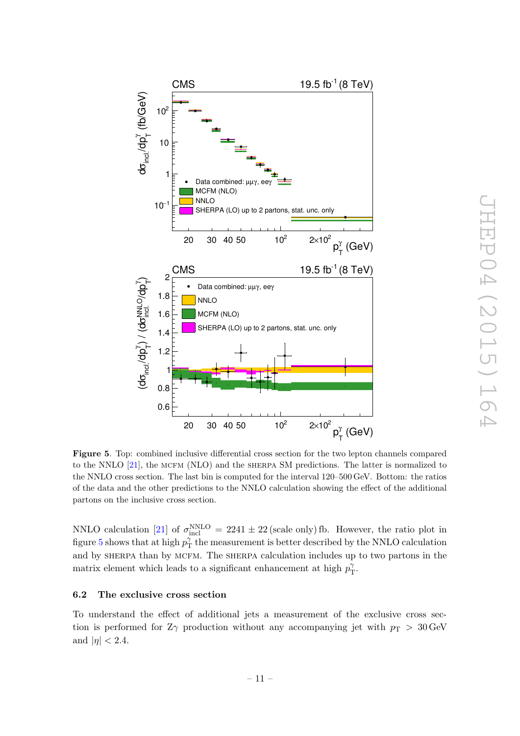

<span id="page-11-1"></span>Figure 5. Top: combined inclusive differential cross section for the two lepton channels compared to the NNLO [\[21\]](#page-21-1), the mcfm (NLO) and the sherpa SM predictions. The latter is normalized to the NNLO cross section. The last bin is computed for the interval 120–500 GeV. Bottom: the ratios of the data and the other predictions to the NNLO calculation showing the effect of the additional partons on the inclusive cross section.

NNLO calculation [\[21\]](#page-21-1) of  $\sigma_{\rm incl}^{\rm NNLO} = 2241 \pm 22$  (scale only) fb. However, the ratio plot in figure [5](#page-11-1) shows that at high  $p_{\rm T}^{\gamma}$  $T_{\rm T}^{\gamma}$  the measurement is better described by the NNLO calculation and by SHERPA than by MCFM. The SHERPA calculation includes up to two partons in the matrix element which leads to a significant enhancement at high  $p_{\rm T}^2$  $\frac{\gamma}{\rm T}.$ 

# <span id="page-11-0"></span>6.2 The exclusive cross section

To understand the effect of additional jets a measurement of the exclusive cross section is performed for  $Z\gamma$  production without any accompanying jet with  $p_T > 30 \text{ GeV}$ and  $|\eta| < 2.4$ .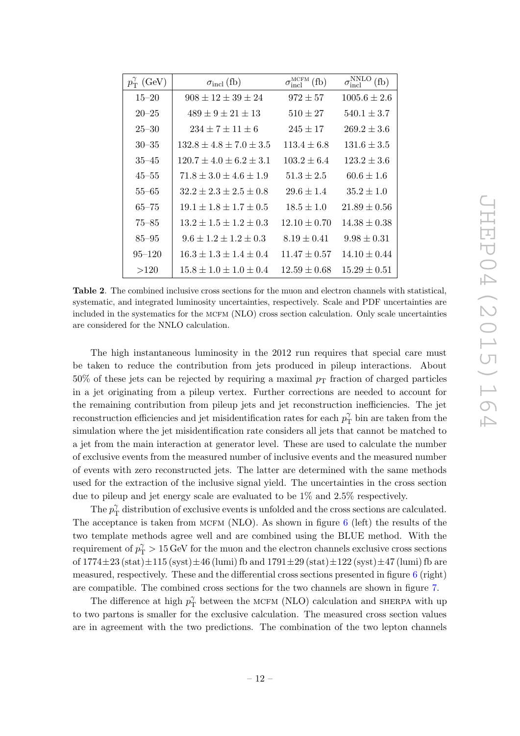| $p_{\rm T}^{\gamma}$ (GeV) | $\sigma_{\rm incl}$ (fb)        | $\sigma_{\rm incl}^{\rm MCFM}$ (fb) | $\sigma_{\rm incl}^{\rm NNLO}$ (fb) |
|----------------------------|---------------------------------|-------------------------------------|-------------------------------------|
| $15 - 20$                  | $908 \pm 12 \pm 39 \pm 24$      | $.972 \pm .57$                      | $1005.6 \pm 2.6$                    |
| $20 - 25$                  | $489 \pm 9 \pm 21 \pm 13$       | $510 \pm 27$                        | $540.1 \pm 3.7$                     |
| $25 - 30$                  | $234 \pm 7 \pm 11 \pm 6$        | $245 \pm 17$                        | $269.2 \pm 3.6$                     |
| $30 - 35$                  | $132.8 \pm 4.8 \pm 7.0 \pm 3.5$ | $113.4 + 6.8$                       | $131.6 \pm 3.5$                     |
| $35 - 45$                  | $120.7 + 4.0 + 6.2 + 3.1$       | $103.2 + 6.4$                       | $123.2 + 3.6$                       |
| $45 - 55$                  | $71.8 \pm 3.0 \pm 4.6 \pm 1.9$  | $51.3 \pm 2.5$                      | $60.6 \pm 1.6$                      |
| $55 - 65$                  | $32.2 \pm 2.3 \pm 2.5 \pm 0.8$  | $29.6 + 1.4$                        | $35.2 \pm 1.0$                      |
| $65 - 75$                  | $19.1 \pm 1.8 \pm 1.7 \pm 0.5$  | $18.5 + 1.0$                        | $21.89 \pm 0.56$                    |
| $75 - 85$                  | $13.2 \pm 1.5 \pm 1.2 \pm 0.3$  | $12.10 \pm 0.70$                    | $14.38 \pm 0.38$                    |
| $85 - 95$                  | $9.6 \pm 1.2 \pm 1.2 \pm 0.3$   | $8.19 \pm 0.41$                     | $9.98 \pm 0.31$                     |
| $95 - 120$                 | $16.3 \pm 1.3 \pm 1.4 \pm 0.4$  | $11.47 \pm 0.57$                    | $14.10 \pm 0.44$                    |
| >120                       | $15.8 \pm 1.0 \pm 1.0 \pm 0.4$  | $12.59 \pm 0.68$                    | $15.29 \pm 0.51$                    |

<span id="page-12-0"></span>Table 2. The combined inclusive cross sections for the muon and electron channels with statistical, systematic, and integrated luminosity uncertainties, respectively. Scale and PDF uncertainties are included in the systematics for the MCFM (NLO) cross section calculation. Only scale uncertainties are considered for the NNLO calculation.

The high instantaneous luminosity in the 2012 run requires that special care must be taken to reduce the contribution from jets produced in pileup interactions. About  $50\%$  of these jets can be rejected by requiring a maximal  $p<sub>T</sub>$  fraction of charged particles in a jet originating from a pileup vertex. Further corrections are needed to account for the remaining contribution from pileup jets and jet reconstruction inefficiencies. The jet reconstruction efficiencies and jet misidentification rates for each  $p_1^2$  $\gamma_{\rm T}^{\gamma}$  bin are taken from the simulation where the jet misidentification rate considers all jets that cannot be matched to a jet from the main interaction at generator level. These are used to calculate the number of exclusive events from the measured number of inclusive events and the measured number of events with zero reconstructed jets. The latter are determined with the same methods used for the extraction of the inclusive signal yield. The uncertainties in the cross section due to pileup and jet energy scale are evaluated to be  $1\%$  and  $2.5\%$  respectively.

The  $p_1^{\gamma}$  $\gamma_{\rm T}^{\gamma}$  distribution of exclusive events is unfolded and the cross sections are calculated. The acceptance is taken from MCFM (NLO). As shown in figure  $6$  (left) the results of the two template methods agree well and are combined using the BLUE method. With the requirement of  $p_T^{\gamma} > 15 \,\textrm{GeV}$  for the muon and the electron channels exclusive cross sections of  $1774\pm23$  (stat) $\pm115$  (syst) $\pm46$  (lumi) fb and  $1791\pm29$  (stat) $\pm122$  (syst) $\pm47$  (lumi) fb are measured, respectively. These and the differential cross sections presented in figure [6](#page-13-1) (right) are compatible. The combined cross sections for the two channels are shown in figure [7.](#page-14-0)

The difference at high  $p_{\text{t}}^{\gamma}$  $_{\rm T}^{\gamma}$  between the MCFM (NLO) calculation and SHERPA with up to two partons is smaller for the exclusive calculation. The measured cross section values are in agreement with the two predictions. The combination of the two lepton channels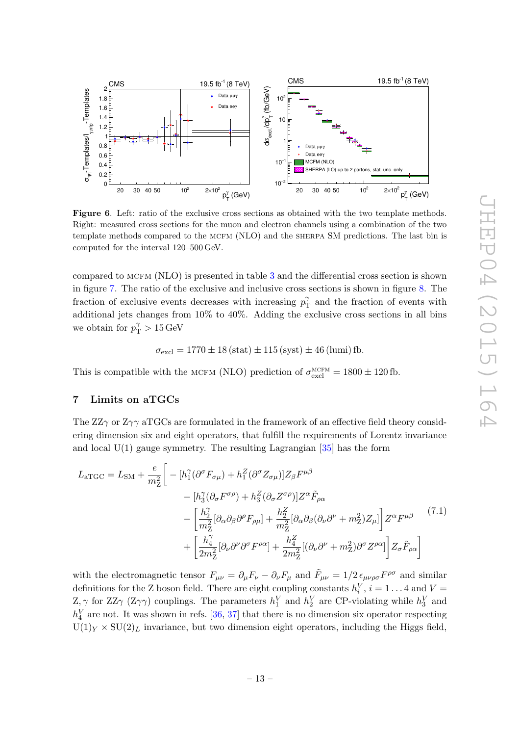

<span id="page-13-1"></span>Figure 6. Left: ratio of the exclusive cross sections as obtained with the two template methods. Right: measured cross sections for the muon and electron channels using a combination of the two template methods compared to the mcfm (NLO) and the sherpa SM predictions. The last bin is computed for the interval 120–500 GeV.

compared to mcfm (NLO) is presented in table [3](#page-15-0) and the differential cross section is shown in figure [7.](#page-14-0) The ratio of the exclusive and inclusive cross sections is shown in figure [8.](#page-15-1) The fraction of exclusive events decreases with increasing  $p_{\rm T}^{\gamma}$  $\gamma_{\rm T}^{\gamma}$  and the fraction of events with additional jets changes from 10% to 40%. Adding the exclusive cross sections in all bins we obtain for  $p_T^{\gamma} > 15 \,\text{GeV}$ 

$$
\sigma_{\text{excl}} = 1770 \pm 18 \, (\text{stat}) \pm 115 \, (\text{syst}) \pm 46 \, (\text{lumi}) \, \text{fb}.
$$

This is compatible with the MCFM (NLO) prediction of  $\sigma_{\text{excl}}^{\text{MCFM}} = 1800 \pm 120 \,\text{fb}$ .

### <span id="page-13-0"></span>7 Limits on aTGCs

The ZZ $\gamma$  or Z $\gamma\gamma$  aTGCs are formulated in the framework of an effective field theory considering dimension six and eight operators, that fulfill the requirements of Lorentz invariance and local  $U(1)$  gauge symmetry. The resulting Lagrangian [\[35\]](#page-21-15) has the form

$$
L_{\text{ATGC}} = L_{\text{SM}} + \frac{e}{m_{\text{Z}}^2} \Bigg[ -\left[ h_1^{\gamma} (\partial^{\sigma} F_{\sigma\mu}) + h_1^Z (\partial^{\sigma} Z_{\sigma\mu}) \right] Z_{\beta} F^{\mu\beta} - \left[ h_3^{\gamma} (\partial_{\sigma} F^{\sigma\rho}) + h_3^Z (\partial_{\sigma} Z^{\sigma\rho}) \right] Z^{\alpha} \tilde{F}_{\rho\alpha} - \left[ \frac{h_2^{\gamma}}{m_{\text{Z}}^2} [\partial_{\alpha} \partial_{\beta} \partial^{\rho} F_{\rho\mu}] + \frac{h_2^Z}{m_{\text{Z}}^2} [\partial_{\alpha} \partial_{\beta} (\partial_{\nu} \partial^{\nu} + m_{\text{Z}}^2) Z_{\mu}] \right] Z^{\alpha} F^{\mu\beta} + \left[ \frac{h_4^{\gamma}}{2m_{\text{Z}}^2} [\partial_{\nu} \partial^{\nu} \partial^{\sigma} F^{\rho\alpha}] + \frac{h_4^Z}{2m_{\text{Z}}^2} [(\partial_{\nu} \partial^{\nu} + m_{\text{Z}}^2) \partial^{\sigma} Z^{\rho\alpha}] \right] Z_{\sigma} \tilde{F}_{\rho\alpha}
$$
(7.1)

with the electromagnetic tensor  $F_{\mu\nu} = \partial_\mu F_\nu - \partial_\nu F_\mu$  and  $\tilde{F}_{\mu\nu} = 1/2 \epsilon_{\mu\nu\rho\sigma} F^{\rho\sigma}$  and similar definitions for the Z boson field. There are eight coupling constants  $h_i^V$ ,  $i = 1...4$  and  $V =$ Z,  $\gamma$  for ZZ $\gamma$  (Z $\gamma\gamma$ ) couplings. The parameters  $h_1^V$  and  $h_2^V$  are CP-violating while  $h_3^V$  and  $h_4^V$  are not. It was shown in refs. [\[36,](#page-21-16) [37\]](#page-21-17) that there is no dimension six operator respecting  $U(1)_Y \times SU(2)_L$  invariance, but two dimension eight operators, including the Higgs field,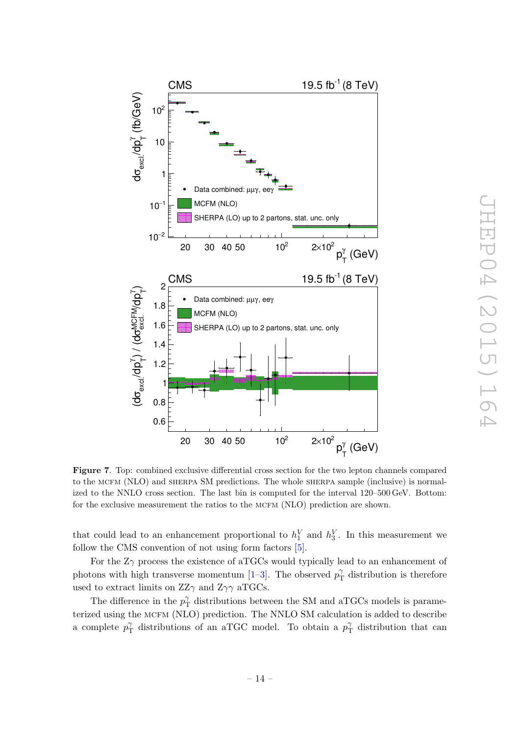

<span id="page-14-0"></span>Figure 7. Top: combined exclusive differential cross section for the two lepton channels compared to the MCFM (NLO) and SHERPA SM predictions. The whole SHERPA sample (inclusive) is normalized to the NNLO cross section. The last bin is computed for the interval 120–500 GeV. Bottom: for the exclusive measurement the ratios to the MCFM (NLO) prediction are shown.

that could lead to an enhancement proportional to  $h_1^V$  and  $h_3^V$ . In this measurement we follow the CMS convention of not using form factors [\[5\]](#page-20-3).

For the  $Z\gamma$  process the existence of aTGCs would typically lead to an enhancement of photons with high transverse momentum [\[1](#page-20-0)[–3\]](#page-20-1). The observed  $p_{\rm T}^2$  $\gamma_{\rm T}^{\gamma}$  distribution is therefore used to extract limits on  $ZZ\gamma$  and  $Z\gamma\gamma$  aTGCs.

The difference in the  $p_{\rm T}^{\gamma}$  $\gamma_{\rm T}^{\gamma}$  distributions between the SM and aTGCs models is parameterized using the mcfm (NLO) prediction. The NNLO SM calculation is added to describe a complete  $p_{\text{t}}^{\gamma}$  $p_{\rm T}^{\gamma}$  distributions of an aTGC model. To obtain a  $p_{\rm T}^{\gamma}$  $\int_{\mathcal{T}}^{\gamma}$  distribution that can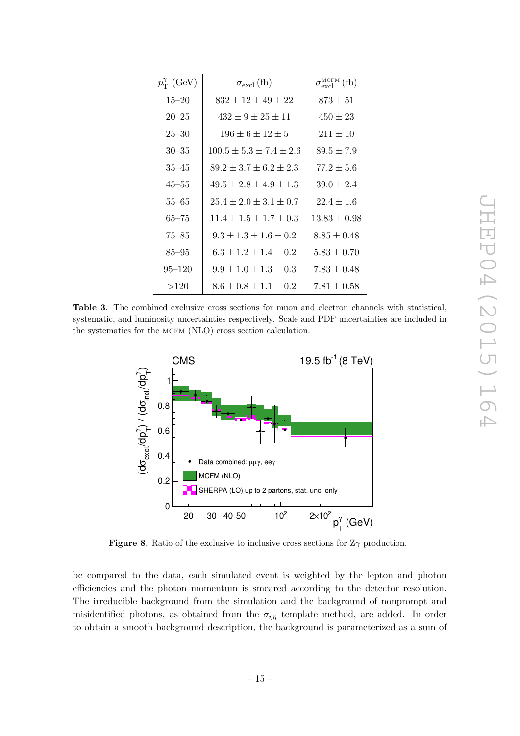| $p_{\rm T}^{\gamma}$ (GeV) | $\sigma_{\rm excl}$ (fb)        | $\sigma_{\rm excl}^{\rm MCFM}$ (fb) |
|----------------------------|---------------------------------|-------------------------------------|
| $15 - 20$                  | $832 \pm 12 \pm 49 \pm 22$      | $873 \pm 51$                        |
| $20 - 25$                  | $432 \pm 9 \pm 25 \pm 11$       | $450 \pm 23$                        |
| $25 - 30$                  | $196 \pm 6 \pm 12 \pm 5$        | $211 \pm 10$                        |
| $30 - 35$                  | $100.5 \pm 5.3 \pm 7.4 \pm 2.6$ | $89.5 \pm 7.9$                      |
| $35 - 45$                  | $89.2 \pm 3.7 \pm 6.2 \pm 2.3$  | $77.2 \pm 5.6$                      |
| $45 - 55$                  | $49.5 \pm 2.8 \pm 4.9 \pm 1.3$  | $39.0 \pm 2.4$                      |
| $55 - 65$                  | $25.4 + 2.0 + 3.1 + 0.7$        | $22.4 + 1.6$                        |
| $65 - 75$                  | $11.4 \pm 1.5 \pm 1.7 \pm 0.3$  | $13.83 \pm 0.98$                    |
| $75 - 85$                  | $9.3 \pm 1.3 \pm 1.6 \pm 0.2$   | $8.85 \pm 0.48$                     |
| $85 - 95$                  | $6.3 \pm 1.2 \pm 1.4 \pm 0.2$   | $5.83 \pm 0.70$                     |
| $95 - 120$                 | $9.9 + 1.0 + 1.3 + 0.3$         | $7.83 \pm 0.48$                     |
| >120                       | $8.6 \pm 0.8 \pm 1.1 \pm 0.2$   | $7.81 \pm 0.58$                     |

<span id="page-15-0"></span>Table 3. The combined exclusive cross sections for muon and electron channels with statistical, systematic, and luminosity uncertainties respectively. Scale and PDF uncertainties are included in the systematics for the MCFM (NLO) cross section calculation.



<span id="page-15-1"></span>**Figure 8.** Ratio of the exclusive to inclusive cross sections for  $Z_{\gamma}$  production.

be compared to the data, each simulated event is weighted by the lepton and photon efficiencies and the photon momentum is smeared according to the detector resolution. The irreducible background from the simulation and the background of nonprompt and misidentified photons, as obtained from the  $\sigma_{\eta\eta}$  template method, are added. In order to obtain a smooth background description, the background is parameterized as a sum of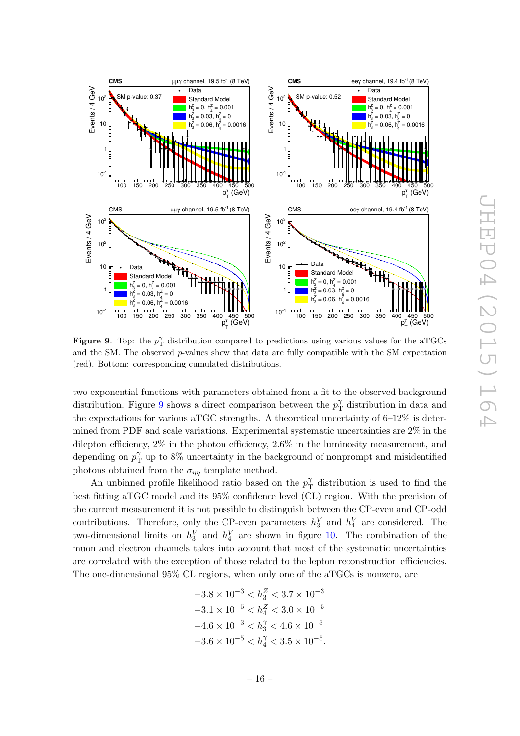

<span id="page-16-0"></span>**Figure 9.** Top: the  $p_T^{\gamma}$  distribution compared to predictions using various values for the aTGCs and the SM. The observed p-values show that data are fully compatible with the SM expectation (red). Bottom: corresponding cumulated distributions.

two exponential functions with parameters obtained from a fit to the observed background distribution. Figure [9](#page-16-0) shows a direct comparison between the  $p_{\rm T}^2$  $\gamma_{\rm T}^{\gamma}$  distribution in data and the expectations for various aTGC strengths. A theoretical uncertainty of  $6-12\%$  is determined from PDF and scale variations. Experimental systematic uncertainties are 2% in the dilepton efficiency, 2% in the photon efficiency, 2.6% in the luminosity measurement, and depending on  $p_{\text{T}}^{\gamma}$  $\gamma_{\rm T}^{\gamma}$  up to 8% uncertainty in the background of nonprompt and misidentified photons obtained from the  $\sigma_{\eta\eta}$  template method.

An unbinned profile likelihood ratio based on the  $p_{\rm T}^{\gamma}$  $\gamma_{\rm T}^{\gamma}$  distribution is used to find the best fitting aTGC model and its 95% confidence level (CL) region. With the precision of the current measurement it is not possible to distinguish between the CP-even and CP-odd contributions. Therefore, only the CP-even parameters  $h_3^V$  and  $h_4^V$  are considered. The two-dimensional limits on  $h_3^V$  and  $h_4^V$  are shown in figure [10.](#page-17-1) The combination of the muon and electron channels takes into account that most of the systematic uncertainties are correlated with the exception of those related to the lepton reconstruction efficiencies. The one-dimensional 95% CL regions, when only one of the aTGCs is nonzero, are

$$
-3.8 \times 10^{-3} < h_3^Z < 3.7 \times 10^{-3}
$$
\n
$$
-3.1 \times 10^{-5} < h_4^Z < 3.0 \times 10^{-5}
$$
\n
$$
-4.6 \times 10^{-3} < h_3^{\gamma} < 4.6 \times 10^{-3}
$$
\n
$$
-3.6 \times 10^{-5} < h_4^{\gamma} < 3.5 \times 10^{-5}.
$$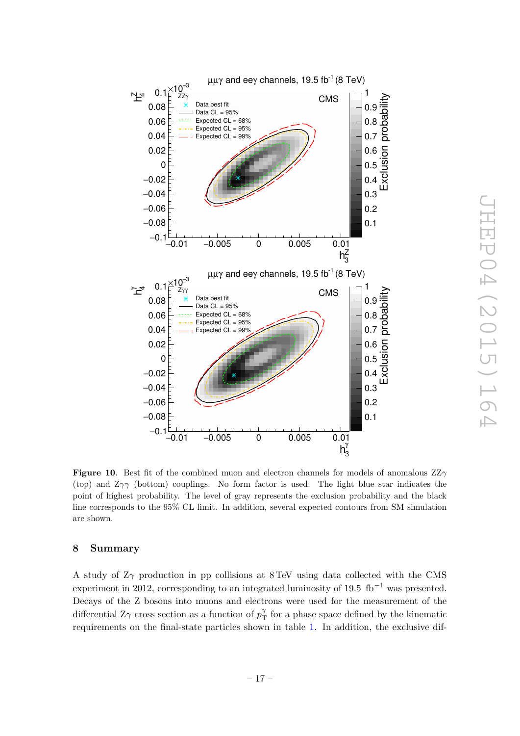

<span id="page-17-1"></span>**Figure 10.** Best fit of the combined muon and electron channels for models of anomalous  $ZZ\gamma$ (top) and  $Z\gamma\gamma$  (bottom) couplings. No form factor is used. The light blue star indicates the point of highest probability. The level of gray represents the exclusion probability and the black line corresponds to the 95% CL limit. In addition, several expected contours from SM simulation are shown.

## <span id="page-17-0"></span>8 Summary

A study of  $Z\gamma$  production in pp collisions at  $8 \text{ TeV}$  using data collected with the CMS experiment in 2012, corresponding to an integrated luminosity of 19.5 fb<sup>-1</sup> was presented. Decays of the Z bosons into muons and electrons were used for the measurement of the differential  $Z\gamma$  cross section as a function of  $p_{\rm T}^{\gamma}$  $\gamma_{\rm T}^{\gamma}$  for a phase space defined by the kinematic requirements on the final-state particles shown in table [1.](#page-10-0) In addition, the exclusive dif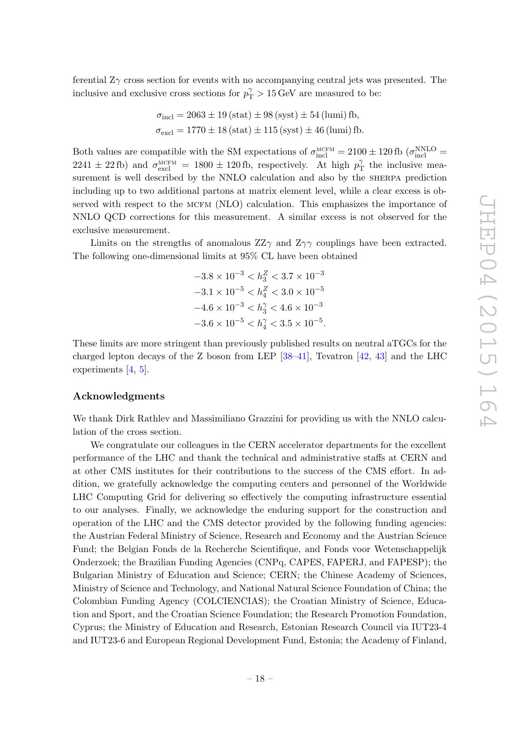ferential  $Z\gamma$  cross section for events with no accompanying central jets was presented. The inclusive and exclusive cross sections for  $p_T^{\gamma} > 15 \,\text{GeV}$  are measured to be:

$$
\sigma_{\text{incl}} = 2063 \pm 19 \text{ (stat)} \pm 98 \text{ (syst)} \pm 54 \text{ (lumi)} \text{ fb},
$$
  
 $\sigma_{\text{excl}} = 1770 \pm 18 \text{ (stat)} \pm 115 \text{ (syst)} \pm 46 \text{ (lumi)} \text{ fb}.$ 

Both values are compatible with the SM expectations of  $\sigma_{\rm incl}^{\rm MCFM} = 2100 \pm 120$  fb  $(\sigma_{\rm incl}^{\rm NNLO} =$  $2241 \pm 22$  fb) and  $\sigma_{\text{excl}}^{\text{MCFM}} = 1800 \pm 120$  fb, respectively. At high  $p_1^2$  $\gamma_{\rm T}^{\gamma}$  the inclusive measurement is well described by the NNLO calculation and also by the sherpa prediction including up to two additional partons at matrix element level, while a clear excess is observed with respect to the MCFM (NLO) calculation. This emphasizes the importance of NNLO QCD corrections for this measurement. A similar excess is not observed for the exclusive measurement.

Limits on the strengths of anomalous  $ZZ\gamma$  and  $Z\gamma\gamma$  couplings have been extracted. The following one-dimensional limits at 95% CL have been obtained

$$
-3.8 \times 10^{-3} < h_3^Z < 3.7 \times 10^{-3}
$$
\n
$$
-3.1 \times 10^{-5} < h_4^Z < 3.0 \times 10^{-5}
$$
\n
$$
-4.6 \times 10^{-3} < h_3^Z < 4.6 \times 10^{-3}
$$
\n
$$
-3.6 \times 10^{-5} < h_4^{\gamma} < 3.5 \times 10^{-5}.
$$

These limits are more stringent than previously published results on neutral aTGCs for the charged lepton decays of the Z boson from LEP [\[38](#page-21-18)[–41\]](#page-22-0), Tevatron [\[42,](#page-22-1) [43\]](#page-22-2) and the LHC experiments [\[4,](#page-20-2) [5\]](#page-20-3).

#### Acknowledgments

We thank Dirk Rathlev and Massimiliano Grazzini for providing us with the NNLO calculation of the cross section.

We congratulate our colleagues in the CERN accelerator departments for the excellent performance of the LHC and thank the technical and administrative staffs at CERN and at other CMS institutes for their contributions to the success of the CMS effort. In addition, we gratefully acknowledge the computing centers and personnel of the Worldwide LHC Computing Grid for delivering so effectively the computing infrastructure essential to our analyses. Finally, we acknowledge the enduring support for the construction and operation of the LHC and the CMS detector provided by the following funding agencies: the Austrian Federal Ministry of Science, Research and Economy and the Austrian Science Fund; the Belgian Fonds de la Recherche Scientifique, and Fonds voor Wetenschappelijk Onderzoek; the Brazilian Funding Agencies (CNPq, CAPES, FAPERJ, and FAPESP); the Bulgarian Ministry of Education and Science; CERN; the Chinese Academy of Sciences, Ministry of Science and Technology, and National Natural Science Foundation of China; the Colombian Funding Agency (COLCIENCIAS); the Croatian Ministry of Science, Education and Sport, and the Croatian Science Foundation; the Research Promotion Foundation, Cyprus; the Ministry of Education and Research, Estonian Research Council via IUT23-4 and IUT23-6 and European Regional Development Fund, Estonia; the Academy of Finland,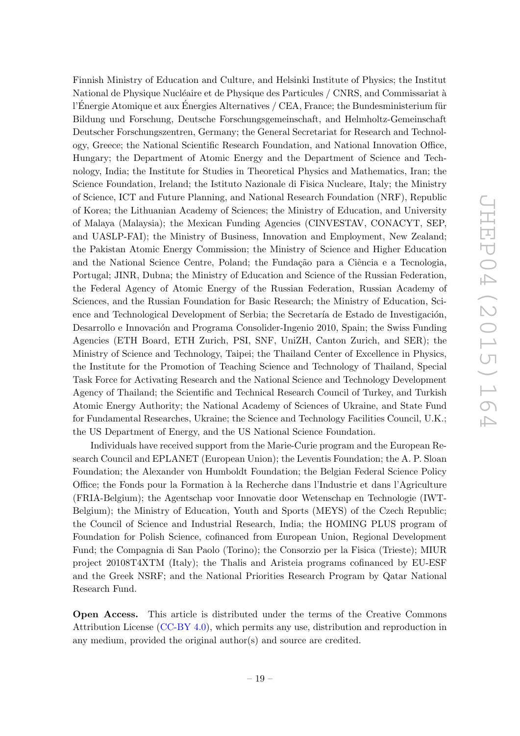Finnish Ministry of Education and Culture, and Helsinki Institute of Physics; the Institut National de Physique Nucléaire et de Physique des Particules / CNRS, and Commissariat à l'Énergie Atomique et aux Énergies Alternatives / CEA, France; the Bundesministerium für Bildung und Forschung, Deutsche Forschungsgemeinschaft, and Helmholtz-Gemeinschaft Deutscher Forschungszentren, Germany; the General Secretariat for Research and Technology, Greece; the National Scientific Research Foundation, and National Innovation Office, Hungary; the Department of Atomic Energy and the Department of Science and Technology, India; the Institute for Studies in Theoretical Physics and Mathematics, Iran; the Science Foundation, Ireland; the Istituto Nazionale di Fisica Nucleare, Italy; the Ministry of Science, ICT and Future Planning, and National Research Foundation (NRF), Republic of Korea; the Lithuanian Academy of Sciences; the Ministry of Education, and University of Malaya (Malaysia); the Mexican Funding Agencies (CINVESTAV, CONACYT, SEP, and UASLP-FAI); the Ministry of Business, Innovation and Employment, New Zealand; the Pakistan Atomic Energy Commission; the Ministry of Science and Higher Education and the National Science Centre, Poland; the Fundação para a Ciência e a Tecnologia, Portugal; JINR, Dubna; the Ministry of Education and Science of the Russian Federation, the Federal Agency of Atomic Energy of the Russian Federation, Russian Academy of Sciences, and the Russian Foundation for Basic Research; the Ministry of Education, Science and Technological Development of Serbia; the Secretaría de Estado de Investigación, Desarrollo e Innovación and Programa Consolider-Ingenio 2010, Spain; the Swiss Funding Agencies (ETH Board, ETH Zurich, PSI, SNF, UniZH, Canton Zurich, and SER); the Ministry of Science and Technology, Taipei; the Thailand Center of Excellence in Physics, the Institute for the Promotion of Teaching Science and Technology of Thailand, Special Task Force for Activating Research and the National Science and Technology Development Agency of Thailand; the Scientific and Technical Research Council of Turkey, and Turkish Atomic Energy Authority; the National Academy of Sciences of Ukraine, and State Fund for Fundamental Researches, Ukraine; the Science and Technology Facilities Council, U.K.; the US Department of Energy, and the US National Science Foundation.

Individuals have received support from the Marie-Curie program and the European Research Council and EPLANET (European Union); the Leventis Foundation; the A. P. Sloan Foundation; the Alexander von Humboldt Foundation; the Belgian Federal Science Policy Office; the Fonds pour la Formation `a la Recherche dans l'Industrie et dans l'Agriculture (FRIA-Belgium); the Agentschap voor Innovatie door Wetenschap en Technologie (IWT-Belgium); the Ministry of Education, Youth and Sports (MEYS) of the Czech Republic; the Council of Science and Industrial Research, India; the HOMING PLUS program of Foundation for Polish Science, cofinanced from European Union, Regional Development Fund; the Compagnia di San Paolo (Torino); the Consorzio per la Fisica (Trieste); MIUR project 20108T4XTM (Italy); the Thalis and Aristeia programs cofinanced by EU-ESF and the Greek NSRF; and the National Priorities Research Program by Qatar National Research Fund.

Open Access. This article is distributed under the terms of the Creative Commons Attribution License [\(CC-BY 4.0\)](http://creativecommons.org/licenses/by/4.0/), which permits any use, distribution and reproduction in any medium, provided the original author(s) and source are credited.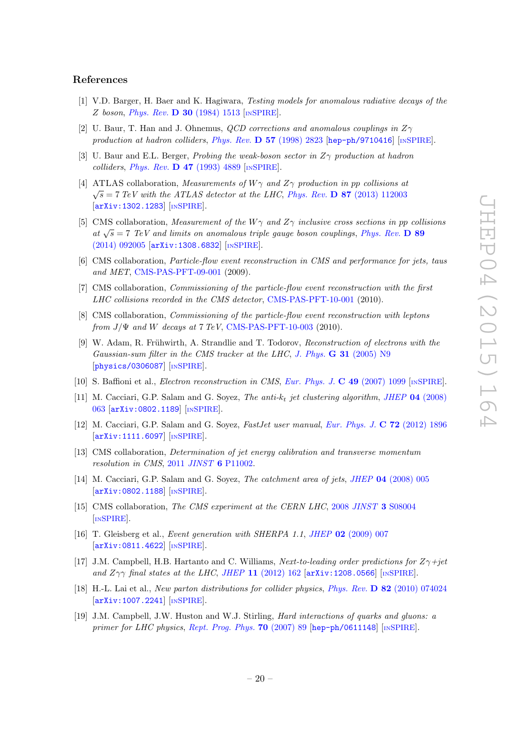#### References

- <span id="page-20-0"></span>[1] V.D. Barger, H. Baer and K. Hagiwara, Testing models for anomalous radiative decays of the Z boson, Phys. Rev. D 30 [\(1984\) 1513](http://dx.doi.org/10.1103/PhysRevD.30.1513)  $\text{INSPIRE}$  $\text{INSPIRE}$  $\text{INSPIRE}$ .
- [2] U. Baur, T. Han and J. Ohnemus, *QCD corrections and anomalous couplings in*  $Z_{\gamma}$ production at hadron colliders, Phys. Rev. D 57 [\(1998\) 2823](http://dx.doi.org/10.1103/PhysRevD.57.2823) [[hep-ph/9710416](http://arxiv.org/abs/hep-ph/9710416)] [IN[SPIRE](http://inspirehep.net/search?p=find+EPRINT+hep-ph/9710416)].
- <span id="page-20-1"></span>[3] U. Baur and E.L. Berger, *Probing the weak-boson sector in*  $Z_{\gamma}$  production at hadron  $colliders, Phys. Rev. D 47 (1993) 4889 [NSPIRE].$  $colliders, Phys. Rev. D 47 (1993) 4889 [NSPIRE].$  $colliders, Phys. Rev. D 47 (1993) 4889 [NSPIRE].$  $colliders, Phys. Rev. D 47 (1993) 4889 [NSPIRE].$  $colliders, Phys. Rev. D 47 (1993) 4889 [NSPIRE].$
- <span id="page-20-2"></span>[4] ATLAS collaboration, Measurements of  $W\gamma$  and  $Z\gamma$  production in pp collisions at  $\sqrt{s}$  = 7 TeV with the ATLAS detector at the LHC, Phys. Rev. **D 87** [\(2013\) 112003](http://dx.doi.org/10.1103/PhysRevD.87.112003) [[arXiv:1302.1283](http://arxiv.org/abs/1302.1283)] [IN[SPIRE](http://inspirehep.net/search?p=find+EPRINT+arXiv:1302.1283)].
- <span id="page-20-3"></span>[5] CMS collaboration, *Measurement of the W* $\gamma$  and  $Z\gamma$  inclusive cross sections in pp collisions at  $\sqrt{s} = 7$  TeV and limits on anomalous triple gauge boson couplings, [Phys. Rev.](http://dx.doi.org/10.1103/PhysRevD.89.092005) **D** 89 [\(2014\) 092005](http://dx.doi.org/10.1103/PhysRevD.89.092005) [[arXiv:1308.6832](http://arxiv.org/abs/1308.6832)] [IN[SPIRE](http://inspirehep.net/search?p=find+J+Phys.Rev.,D89,092005)].
- <span id="page-20-4"></span>[6] CMS collaboration, Particle-flow event reconstruction in CMS and performance for jets, taus and MET, [CMS-PAS-PFT-09-001](http://cds.cern.ch/record/1194487) (2009).
- [7] CMS collaboration, Commissioning of the particle-flow event reconstruction with the first LHC collisions recorded in the CMS detector, [CMS-PAS-PFT-10-001](http://cds.cern.ch/record/1247373) (2010).
- <span id="page-20-5"></span>[8] CMS collaboration, Commissioning of the particle-flow event reconstruction with leptons from  $J/\Psi$  and W decays at 7 TeV, [CMS-PAS-PFT-10-003](http://cds.cern.ch/record/1279347) (2010).
- <span id="page-20-6"></span>[9] W. Adam, R. Frühwirth, A. Strandlie and T. Todorov, Reconstruction of electrons with the Gaussian-sum filter in the CMS tracker at the LHC, J. Phys. **G 31** [\(2005\) N9](http://dx.doi.org/10.1088/0954-3899/31/9/N01) [[physics/0306087](http://arxiv.org/abs/physics/0306087)] [IN[SPIRE](http://inspirehep.net/search?p=find+EPRINT+physics/0306087)].
- <span id="page-20-7"></span>[10] S. Baffioni et al., Electron reconstruction in CMS, [Eur. Phys. J.](http://dx.doi.org/10.1140/epjc/s10052-006-0175-5) C 49 (2007) 1099 [IN[SPIRE](http://inspirehep.net/search?p=find+J+Eur.Phys.J.,C49,1099)].
- <span id="page-20-8"></span>[11] M. Cacciari, G.P. Salam and G. Soyez, The anti- $k_t$  jet clustering algorithm, JHEP 04 [\(2008\)](http://dx.doi.org/10.1088/1126-6708/2008/04/063) [063](http://dx.doi.org/10.1088/1126-6708/2008/04/063) [[arXiv:0802.1189](http://arxiv.org/abs/0802.1189)] [IN[SPIRE](http://inspirehep.net/search?p=find+EPRINT+arXiv:0802.1189)].
- <span id="page-20-9"></span>[12] M. Cacciari, G.P. Salam and G. Soyez, FastJet user manual, [Eur. Phys. J.](http://dx.doi.org/10.1140/epjc/s10052-012-1896-2) C 72 (2012) 1896 [[arXiv:1111.6097](http://arxiv.org/abs/1111.6097)] [IN[SPIRE](http://inspirehep.net/search?p=find+EPRINT+arXiv:1111.6097)].
- <span id="page-20-10"></span>[13] CMS collaboration, Determination of jet energy calibration and transverse momentum resolution in CMS, 2011 JINST 6 [P11002.](http://dx.doi.org/10.1088/1748-0221/6/11/P11002)
- <span id="page-20-11"></span>[14] M. Cacciari, G.P. Salam and G. Soyez, The catchment area of jets, JHEP 04 [\(2008\) 005](http://dx.doi.org/10.1088/1126-6708/2008/04/005) [[arXiv:0802.1188](http://arxiv.org/abs/0802.1188)] [IN[SPIRE](http://inspirehep.net/search?p=find+EPRINT+arXiv:0802.1188)].
- <span id="page-20-12"></span>[15] CMS collaboration, The CMS experiment at the CERN LHC, 2008 JINST 3 [S08004](http://dx.doi.org/10.1088/1748-0221/3/08/S08004) [IN[SPIRE](http://inspirehep.net/search?p=find+J+JINST,3,S08004)].
- <span id="page-20-13"></span>[16] T. Gleisberg et al., Event generation with SHERPA 1.1, JHEP 02 [\(2009\) 007](http://dx.doi.org/10.1088/1126-6708/2009/02/007) [[arXiv:0811.4622](http://arxiv.org/abs/0811.4622)] [IN[SPIRE](http://inspirehep.net/search?p=find+EPRINT+arXiv:0811.4622)].
- <span id="page-20-14"></span>[17] J.M. Campbell, H.B. Hartanto and C. Williams, Next-to-leading order predictions for  $Z\gamma + i\epsilon t$ and  $Z\gamma\gamma$  final states at the LHC, JHEP 11 [\(2012\) 162](http://dx.doi.org/10.1007/JHEP11(2012)162) [[arXiv:1208.0566](http://arxiv.org/abs/1208.0566)] [IN[SPIRE](http://inspirehep.net/search?p=find+EPRINT+arXiv:1208.0566)].
- <span id="page-20-15"></span>[18] H.-L. Lai et al., New parton distributions for collider physics, Phys. Rev. **D** 82 [\(2010\) 074024](http://dx.doi.org/10.1103/PhysRevD.82.074024) [[arXiv:1007.2241](http://arxiv.org/abs/1007.2241)] [IN[SPIRE](http://inspirehep.net/search?p=find+EPRINT+arXiv:1007.2241)].
- <span id="page-20-16"></span>[19] J.M. Campbell, J.W. Huston and W.J. Stirling, Hard interactions of quarks and gluons: a primer for LHC physics, [Rept. Prog. Phys.](http://dx.doi.org/10.1088/0034-4885/70/1/R02) 70 (2007) 89  $[hep-ph/0611148]$  $[hep-ph/0611148]$  $[hep-ph/0611148]$  [IN[SPIRE](http://inspirehep.net/search?p=find+EPRINT+hep-ph/0611148)].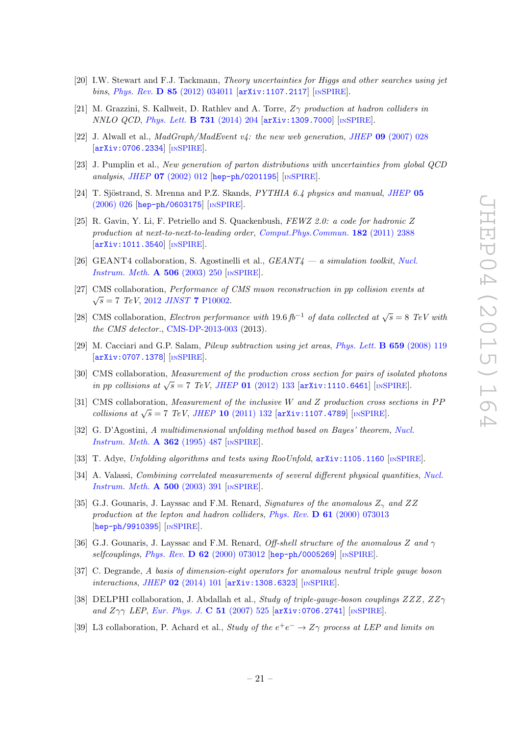- <span id="page-21-0"></span>[20] I.W. Stewart and F.J. Tackmann, Theory uncertainties for Higgs and other searches using jet bins, Phys. Rev. D 85 [\(2012\) 034011](http://dx.doi.org/10.1103/PhysRevD.85.034011) [[arXiv:1107.2117](http://arxiv.org/abs/1107.2117)] [IN[SPIRE](http://inspirehep.net/search?p=find+EPRINT+arXiv:1107.2117)].
- <span id="page-21-1"></span>[21] M. Grazzini, S. Kallweit, D. Rathlev and A. Torre, Zγ production at hadron colliders in NNLO QCD, [Phys. Lett.](http://dx.doi.org/10.1016/j.physletb.2014.02.037) B 731 (2014) 204 [[arXiv:1309.7000](http://arxiv.org/abs/1309.7000)] [IN[SPIRE](http://inspirehep.net/search?p=find+EPRINT+arXiv:1309.7000)].
- <span id="page-21-2"></span>[22] J. Alwall et al.,  $MadGraph/MadEvent \, v4$ : the new web generation, JHEP 09 [\(2007\) 028](http://dx.doi.org/10.1088/1126-6708/2007/09/028) [[arXiv:0706.2334](http://arxiv.org/abs/0706.2334)] [IN[SPIRE](http://inspirehep.net/search?p=find+EPRINT+arXiv:0706.2334)].
- <span id="page-21-3"></span>[23] J. Pumplin et al., New generation of parton distributions with uncertainties from global QCD analysis, JHEP 07 [\(2002\) 012](http://dx.doi.org/10.1088/1126-6708/2002/07/012) [[hep-ph/0201195](http://arxiv.org/abs/hep-ph/0201195)] [IN[SPIRE](http://inspirehep.net/search?p=find+EPRINT+hep-ph/0201195)].
- <span id="page-21-4"></span>[24] T. Sjöstrand, S. Mrenna and P.Z. Skands,  $PYTHIA$  6.4 physics and manual, [JHEP](http://dx.doi.org/10.1088/1126-6708/2006/05/026) 05 [\(2006\) 026](http://dx.doi.org/10.1088/1126-6708/2006/05/026) [[hep-ph/0603175](http://arxiv.org/abs/hep-ph/0603175)] [IN[SPIRE](http://inspirehep.net/search?p=find+EPRINT+hep-ph/0603175)].
- <span id="page-21-5"></span>[25] R. Gavin, Y. Li, F. Petriello and S. Quackenbush, FEWZ 2.0: a code for hadronic Z production at next-to-next-to-leading order, [Comput.Phys.Commun.](http://dx.doi.org/10.1016/j.cpc.2011.06.008) 182 (2011) 2388 [[arXiv:1011.3540](http://arxiv.org/abs/1011.3540)] [IN[SPIRE](http://inspirehep.net/search?p=find+J+Comp.Phys.Comm.,182,2388)].
- <span id="page-21-6"></span>[26] GEANT4 collaboration, S. Agostinelli et al.,  $GEANT4 - a$  simulation toolkit, [Nucl.](http://dx.doi.org/10.1016/S0168-9002(03)01368-8) [Instrum. Meth.](http://dx.doi.org/10.1016/S0168-9002(03)01368-8) A 506 (2003) 250 [IN[SPIRE](http://inspirehep.net/search?p=find+J+Nucl.Instrum.Meth.,A506,250)].
- <span id="page-21-7"></span>[27] CMS collaboration, *Performance of CMS muon reconstruction in pp collision events at*  $\sqrt{s} = 7$  TeV, 2012 JINST 7 [P10002.](http://dx.doi.org/10.1088/1748-0221/7/10/P10002)
- <span id="page-21-8"></span>[28] CMS collaboration, *Electron performance with* 19.6 fb<sup>-1</sup> of data collected at  $\sqrt{s} = 8$  TeV with the CMS detector., [CMS-DP-2013-003](http://cds.cern.ch/record/1523273) (2013).
- <span id="page-21-9"></span>[29] M. Cacciari and G.P. Salam, Pileup subtraction using jet areas, [Phys. Lett.](http://dx.doi.org/10.1016/j.physletb.2007.09.077) B 659 (2008) 119 [[arXiv:0707.1378](http://arxiv.org/abs/0707.1378)] [IN[SPIRE](http://inspirehep.net/search?p=find+EPRINT+arXiv:0707.1378)].
- <span id="page-21-10"></span>[30] CMS collaboration, Measurement of the production cross section for pairs of isolated photons in pp collisions at  $\sqrt{s} = 7$  TeV, JHEP 01 [\(2012\) 133](http://dx.doi.org/10.1007/JHEP01(2012)133) [[arXiv:1110.6461](http://arxiv.org/abs/1110.6461)] [IN[SPIRE](http://inspirehep.net/search?p=find+J+JHEP,1201,133)].
- <span id="page-21-11"></span>[31] CMS collaboration, Measurement of the inclusive W and Z production cross sections in PP collisions at  $\sqrt{s}$  = 7 TeV, JHEP 10 [\(2011\) 132](http://dx.doi.org/10.1007/JHEP10(2011)132) [[arXiv:1107.4789](http://arxiv.org/abs/1107.4789)] [IN[SPIRE](http://inspirehep.net/search?p=find+J+JHEP,1110,132)].
- <span id="page-21-12"></span>[32] G. D'Agostini, A multidimensional unfolding method based on Bayes' theorem, [Nucl.](http://dx.doi.org/10.1016/0168-9002(95)00274-X) [Instrum. Meth.](http://dx.doi.org/10.1016/0168-9002(95)00274-X) A 362 (1995) 487 [IN[SPIRE](http://inspirehep.net/search?p=find+J+Nucl.Instrum.Meth.,A362,487)].
- <span id="page-21-13"></span>[33] T. Adye, Unfolding algorithms and tests using RooUnfold,  $arXiv:1105.1160$  [IN[SPIRE](http://inspirehep.net/search?p=find+EPRINT+arXiv:1105.1160)].
- <span id="page-21-14"></span>[34] A. Valassi, *Combining correlated measurements of several different physical quantities, [Nucl.](http://dx.doi.org/10.1016/S0168-9002(03)00329-2)* [Instrum. Meth.](http://dx.doi.org/10.1016/S0168-9002(03)00329-2) A 500 (2003) 391 [IN[SPIRE](http://inspirehep.net/search?p=find+J+Nucl.Instrum.Meth.,A500,391)].
- <span id="page-21-15"></span>[35] G.J. Gounaris, J. Layssac and F.M. Renard, Signatures of the anomalous  $Z_{\gamma}$  and  $ZZ$ production at the lepton and hadron colliders, Phys. Rev.  $\bf{D} 61$  [\(2000\) 073013](http://dx.doi.org/10.1103/PhysRevD.61.073013) [[hep-ph/9910395](http://arxiv.org/abs/hep-ph/9910395)] [IN[SPIRE](http://inspirehep.net/search?p=find+EPRINT+hep-ph/9910395)].
- <span id="page-21-16"></span>[36] G.J. Gounaris, J. Layssac and F.M. Renard, *Off-shell structure of the anomalous Z and*  $\gamma$ selfcouplings, Phys. Rev.  $\bf{D} 62$  [\(2000\) 073012](http://dx.doi.org/10.1103/PhysRevD.62.073012) [[hep-ph/0005269](http://arxiv.org/abs/hep-ph/0005269)] [IN[SPIRE](http://inspirehep.net/search?p=find+J+Phys.Rev.,D62,073012)].
- <span id="page-21-17"></span>[37] C. Degrande, A basis of dimension-eight operators for anomalous neutral triple gauge boson interactions, JHEP 02 [\(2014\) 101](http://dx.doi.org/10.1007/JHEP02(2014)101) [[arXiv:1308.6323](http://arxiv.org/abs/1308.6323)] [IN[SPIRE](http://inspirehep.net/search?p=find+EPRINT+arXiv:1308.6323)].
- <span id="page-21-18"></span>[38] DELPHI collaboration, J. Abdallah et al., Study of triple-gauge-boson couplings  $ZZZ$ ,  $ZZ\gamma$ and  $Z\gamma\gamma$  LEP, [Eur. Phys. J.](http://dx.doi.org/10.1140/epjc/s10052-007-0345-0) C 51 (2007) 525 [[arXiv:0706.2741](http://arxiv.org/abs/0706.2741)] [IN[SPIRE](http://inspirehep.net/search?p=find+EPRINT+arXiv:0706.2741)].
- [39] L3 collaboration, P. Achard et al., Study of the  $e^+e^- \rightarrow Z\gamma$  process at LEP and limits on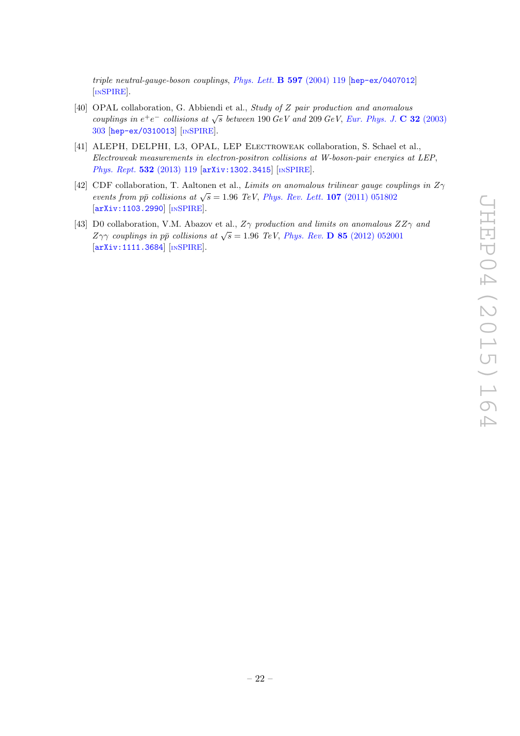triple neutral-gauge-boson couplings, [Phys. Lett.](http://dx.doi.org/10.1016/j.physletb.2004.07.002) B 597 (2004) 119 [[hep-ex/0407012](http://arxiv.org/abs/hep-ex/0407012)] [IN[SPIRE](http://inspirehep.net/search?p=find+J+Phys.Lett.,B597,119)].

- [40] OPAL collaboration, G. Abbiendi et al., Study of Z pair production and anomalous couplings in  $e^+e^-$  collisions at  $\sqrt{s}$  between 190 GeV and 209 GeV, [Eur. Phys. J.](http://dx.doi.org/10.1140/epjc/s2003-01467-x) C 32 (2003) [303](http://dx.doi.org/10.1140/epjc/s2003-01467-x) [[hep-ex/0310013](http://arxiv.org/abs/hep-ex/0310013)] [IN[SPIRE](http://inspirehep.net/search?p=find+EPRINT+hep-ex/0310013)].
- <span id="page-22-0"></span>[41] ALEPH, DELPHI, L3, OPAL, LEP ELECTROWEAK collaboration, S. Schael et al., Electroweak measurements in electron-positron collisions at W-boson-pair energies at LEP, [Phys. Rept.](http://dx.doi.org/10.1016/j.physrep.2013.07.004) 532 (2013) 119 [[arXiv:1302.3415](http://arxiv.org/abs/1302.3415)] [IN[SPIRE](http://inspirehep.net/search?p=find+EPRINT+arXiv:1302.3415)].
- <span id="page-22-1"></span>[42] CDF collaboration, T. Aaltonen et al., Limits on anomalous trilinear gauge couplings in  $Z\gamma$ events from  $p\bar{p}$  collisions at  $\sqrt{s} = 1.96$  TeV, [Phys. Rev. Lett.](http://dx.doi.org/10.1103/PhysRevLett.107.051802) 107 (2011) 051802 [[arXiv:1103.2990](http://arxiv.org/abs/1103.2990)] [IN[SPIRE](http://inspirehep.net/search?p=find+J+Phys.Rev.Lett.,107,051802)].
- <span id="page-22-2"></span>[43] D0 collaboration, V.M. Abazov et al.,  $Z\gamma$  production and limits on anomalous  $ZZ\gamma$  and  $Z\gamma\gamma$  couplings in pp̄ collisions at  $\sqrt{s} = 1.96$  TeV, Phys. Rev. **D** 85 [\(2012\) 052001](http://dx.doi.org/10.1103/PhysRevD.85.052001) [[arXiv:1111.3684](http://arxiv.org/abs/1111.3684)] [IN[SPIRE](http://inspirehep.net/search?p=find+EPRINT+arXiv:1111.3684)].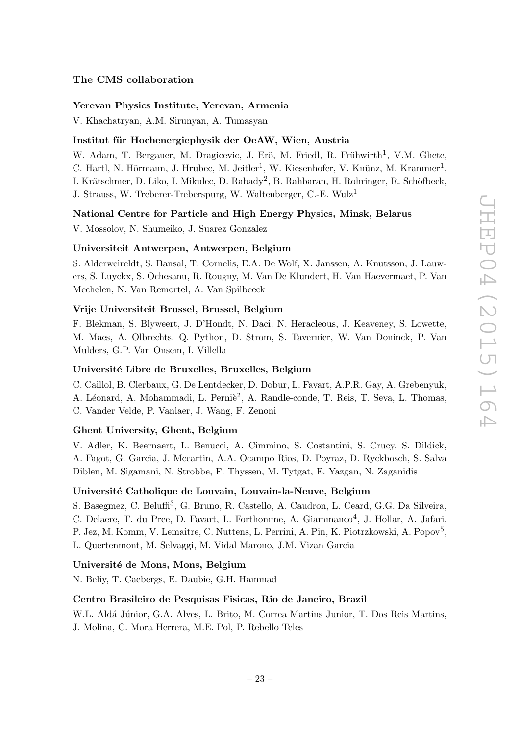# The CMS collaboration

#### <span id="page-23-0"></span>Yerevan Physics Institute, Yerevan, Armenia

V. Khachatryan, A.M. Sirunyan, A. Tumasyan

### Institut für Hochenergiephysik der OeAW, Wien, Austria

W. Adam, T. Bergauer, M. Dragicevic, J. Erö, M. Friedl, R. Frühwirth<sup>1</sup>, V.M. Ghete, C. Hartl, N. Hörmann, J. Hrubec, M. Jeitler<sup>1</sup>, W. Kiesenhofer, V. Knünz, M. Krammer<sup>1</sup>, I. Krätschmer, D. Liko, I. Mikulec, D. Rabady<sup>2</sup>, B. Rahbaran, H. Rohringer, R. Schöfbeck, J. Strauss, W. Treberer-Treberspurg, W. Waltenberger, C.-E. Wulz<sup>1</sup>

#### National Centre for Particle and High Energy Physics, Minsk, Belarus

V. Mossolov, N. Shumeiko, J. Suarez Gonzalez

#### Universiteit Antwerpen, Antwerpen, Belgium

S. Alderweireldt, S. Bansal, T. Cornelis, E.A. De Wolf, X. Janssen, A. Knutsson, J. Lauwers, S. Luyckx, S. Ochesanu, R. Rougny, M. Van De Klundert, H. Van Haevermaet, P. Van Mechelen, N. Van Remortel, A. Van Spilbeeck

#### Vrije Universiteit Brussel, Brussel, Belgium

F. Blekman, S. Blyweert, J. D'Hondt, N. Daci, N. Heracleous, J. Keaveney, S. Lowette, M. Maes, A. Olbrechts, Q. Python, D. Strom, S. Tavernier, W. Van Doninck, P. Van Mulders, G.P. Van Onsem, I. Villella

### Universit´e Libre de Bruxelles, Bruxelles, Belgium

C. Caillol, B. Clerbaux, G. De Lentdecker, D. Dobur, L. Favart, A.P.R. Gay, A. Grebenyuk, A. Léonard, A. Mohammadi, L. Perniè<sup>2</sup>, A. Randle-conde, T. Reis, T. Seva, L. Thomas, C. Vander Velde, P. Vanlaer, J. Wang, F. Zenoni

## Ghent University, Ghent, Belgium

V. Adler, K. Beernaert, L. Benucci, A. Cimmino, S. Costantini, S. Crucy, S. Dildick, A. Fagot, G. Garcia, J. Mccartin, A.A. Ocampo Rios, D. Poyraz, D. Ryckbosch, S. Salva Diblen, M. Sigamani, N. Strobbe, F. Thyssen, M. Tytgat, E. Yazgan, N. Zaganidis

### Université Catholique de Louvain, Louvain-la-Neuve, Belgium

S. Basegmez, C. Beluffi<sup>3</sup>, G. Bruno, R. Castello, A. Caudron, L. Ceard, G.G. Da Silveira, C. Delaere, T. du Pree, D. Favart, L. Forthomme, A. Giammanco<sup>4</sup>, J. Hollar, A. Jafari, P. Jez, M. Komm, V. Lemaitre, C. Nuttens, L. Perrini, A. Pin, K. Piotrzkowski, A. Popov<sup>5</sup>, L. Quertenmont, M. Selvaggi, M. Vidal Marono, J.M. Vizan Garcia

#### Université de Mons, Mons, Belgium

N. Beliy, T. Caebergs, E. Daubie, G.H. Hammad

# Centro Brasileiro de Pesquisas Fisicas, Rio de Janeiro, Brazil

W.L. Aldá Júnior, G.A. Alves, L. Brito, M. Correa Martins Junior, T. Dos Reis Martins, J. Molina, C. Mora Herrera, M.E. Pol, P. Rebello Teles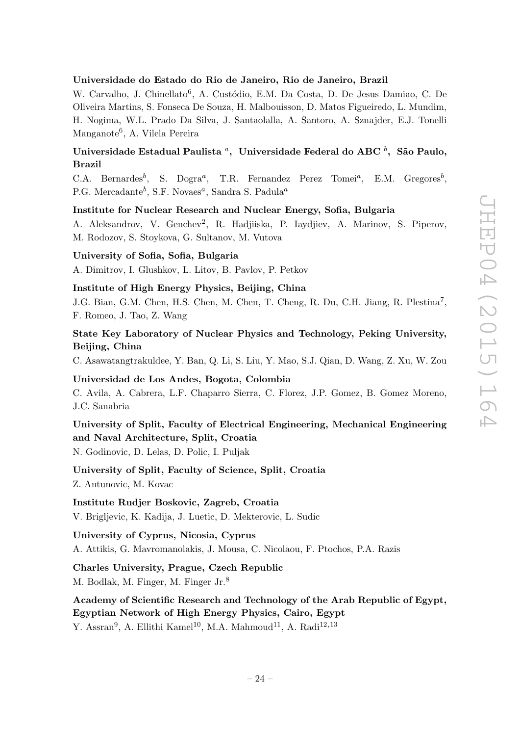### Universidade do Estado do Rio de Janeiro, Rio de Janeiro, Brazil

W. Carvalho, J. Chinellato<sup>6</sup>, A. Custódio, E.M. Da Costa, D. De Jesus Damiao, C. De Oliveira Martins, S. Fonseca De Souza, H. Malbouisson, D. Matos Figueiredo, L. Mundim, H. Nogima, W.L. Prado Da Silva, J. Santaolalla, A. Santoro, A. Sznajder, E.J. Tonelli Manganote<sup>6</sup> , A. Vilela Pereira

# Universidade Estadual Paulista <sup>a</sup>, Universidade Federal do ABC  $^b$ , São Paulo, Brazil

C.A. Bernardes<sup>b</sup>, S. Dogra<sup>a</sup>, T.R. Fernandez Perez Tomei<sup>a</sup>, E.M. Gregores<sup>b</sup>, P.G. Mercadante<sup>b</sup>, S.F. Novaes<sup>a</sup>, Sandra S. Padula<sup>a</sup>

#### Institute for Nuclear Research and Nuclear Energy, Sofia, Bulgaria

A. Aleksandrov, V. Genchev<sup>2</sup>, R. Hadjiiska, P. Iaydjiev, A. Marinov, S. Piperov, M. Rodozov, S. Stoykova, G. Sultanov, M. Vutova

# University of Sofia, Sofia, Bulgaria

A. Dimitrov, I. Glushkov, L. Litov, B. Pavlov, P. Petkov

# Institute of High Energy Physics, Beijing, China

J.G. Bian, G.M. Chen, H.S. Chen, M. Chen, T. Cheng, R. Du, C.H. Jiang, R. Plestina<sup>7</sup>, F. Romeo, J. Tao, Z. Wang

# State Key Laboratory of Nuclear Physics and Technology, Peking University, Beijing, China

C. Asawatangtrakuldee, Y. Ban, Q. Li, S. Liu, Y. Mao, S.J. Qian, D. Wang, Z. Xu, W. Zou

#### Universidad de Los Andes, Bogota, Colombia

C. Avila, A. Cabrera, L.F. Chaparro Sierra, C. Florez, J.P. Gomez, B. Gomez Moreno, J.C. Sanabria

# University of Split, Faculty of Electrical Engineering, Mechanical Engineering and Naval Architecture, Split, Croatia

N. Godinovic, D. Lelas, D. Polic, I. Puljak

#### University of Split, Faculty of Science, Split, Croatia

Z. Antunovic, M. Kovac

Institute Rudjer Boskovic, Zagreb, Croatia V. Brigljevic, K. Kadija, J. Luetic, D. Mekterovic, L. Sudic

University of Cyprus, Nicosia, Cyprus A. Attikis, G. Mavromanolakis, J. Mousa, C. Nicolaou, F. Ptochos, P.A. Razis

Charles University, Prague, Czech Republic M. Bodlak, M. Finger, M. Finger Jr.<sup>8</sup>

# Academy of Scientific Research and Technology of the Arab Republic of Egypt, Egyptian Network of High Energy Physics, Cairo, Egypt

Y. Assran<sup>9</sup>, A. Ellithi Kamel<sup>10</sup>, M.A. Mahmoud<sup>11</sup>, A. Radi<sup>12,13</sup>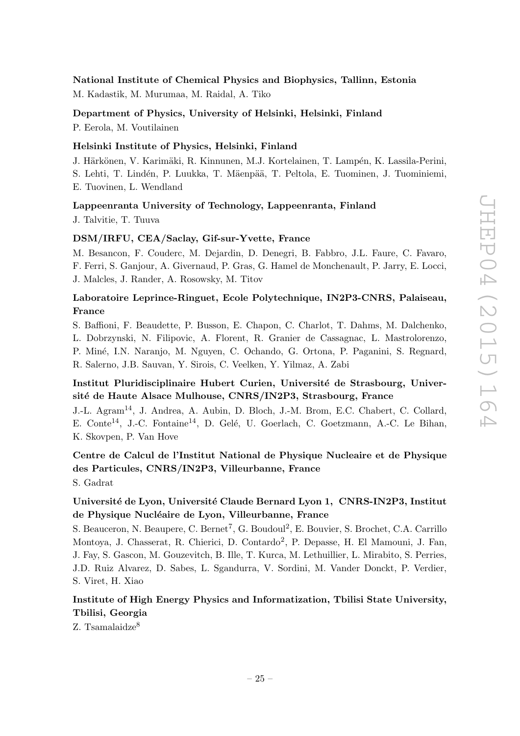# National Institute of Chemical Physics and Biophysics, Tallinn, Estonia

M. Kadastik, M. Murumaa, M. Raidal, A. Tiko

Department of Physics, University of Helsinki, Helsinki, Finland P. Eerola, M. Voutilainen

# Helsinki Institute of Physics, Helsinki, Finland

J. Härkönen, V. Karimäki, R. Kinnunen, M.J. Kortelainen, T. Lampén, K. Lassila-Perini, S. Lehti, T. Lindén, P. Luukka, T. Mäenpää, T. Peltola, E. Tuominen, J. Tuominiemi, E. Tuovinen, L. Wendland

Lappeenranta University of Technology, Lappeenranta, Finland

J. Talvitie, T. Tuuva

# DSM/IRFU, CEA/Saclay, Gif-sur-Yvette, France

M. Besancon, F. Couderc, M. Dejardin, D. Denegri, B. Fabbro, J.L. Faure, C. Favaro, F. Ferri, S. Ganjour, A. Givernaud, P. Gras, G. Hamel de Monchenault, P. Jarry, E. Locci, J. Malcles, J. Rander, A. Rosowsky, M. Titov

# Laboratoire Leprince-Ringuet, Ecole Polytechnique, IN2P3-CNRS, Palaiseau, France

S. Baffioni, F. Beaudette, P. Busson, E. Chapon, C. Charlot, T. Dahms, M. Dalchenko, L. Dobrzynski, N. Filipovic, A. Florent, R. Granier de Cassagnac, L. Mastrolorenzo, P. Miné, I.N. Naranjo, M. Nguyen, C. Ochando, G. Ortona, P. Paganini, S. Regnard, R. Salerno, J.B. Sauvan, Y. Sirois, C. Veelken, Y. Yilmaz, A. Zabi

# Institut Pluridisciplinaire Hubert Curien, Université de Strasbourg, Université de Haute Alsace Mulhouse, CNRS/IN2P3, Strasbourg, France

J.-L. Agram14, J. Andrea, A. Aubin, D. Bloch, J.-M. Brom, E.C. Chabert, C. Collard, E. Conte<sup>14</sup>, J.-C. Fontaine<sup>14</sup>, D. Gelé, U. Goerlach, C. Goetzmann, A.-C. Le Bihan, K. Skovpen, P. Van Hove

# Centre de Calcul de l'Institut National de Physique Nucleaire et de Physique des Particules, CNRS/IN2P3, Villeurbanne, France

S. Gadrat

# Université de Lyon, Université Claude Bernard Lyon 1, CNRS-IN2P3, Institut de Physique Nucléaire de Lyon, Villeurbanne, France

S. Beauceron, N. Beaupere, C. Bernet<sup>7</sup>, G. Boudoul<sup>2</sup>, E. Bouvier, S. Brochet, C.A. Carrillo Montoya, J. Chasserat, R. Chierici, D. Contardo<sup>2</sup>, P. Depasse, H. El Mamouni, J. Fan, J. Fay, S. Gascon, M. Gouzevitch, B. Ille, T. Kurca, M. Lethuillier, L. Mirabito, S. Perries, J.D. Ruiz Alvarez, D. Sabes, L. Sgandurra, V. Sordini, M. Vander Donckt, P. Verdier, S. Viret, H. Xiao

# Institute of High Energy Physics and Informatization, Tbilisi State University, Tbilisi, Georgia

Z. Tsamalaidze<sup>8</sup>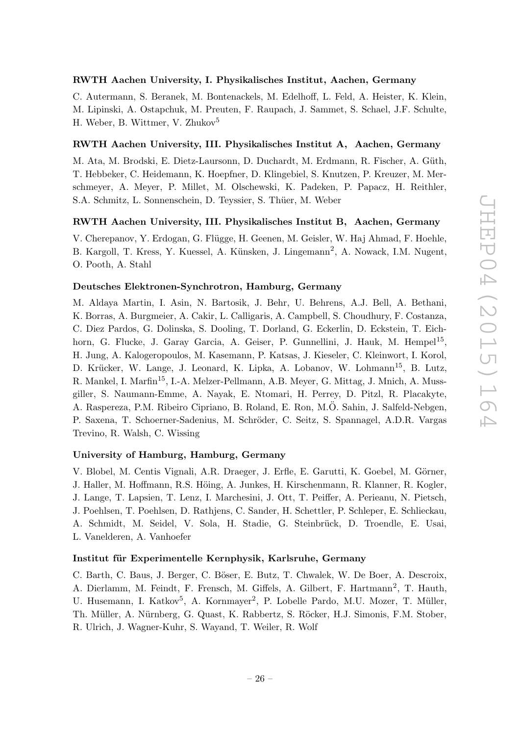#### RWTH Aachen University, I. Physikalisches Institut, Aachen, Germany

C. Autermann, S. Beranek, M. Bontenackels, M. Edelhoff, L. Feld, A. Heister, K. Klein, M. Lipinski, A. Ostapchuk, M. Preuten, F. Raupach, J. Sammet, S. Schael, J.F. Schulte, H. Weber, B. Wittmer, V. Zhukov<sup>5</sup>

#### RWTH Aachen University, III. Physikalisches Institut A, Aachen, Germany

M. Ata, M. Brodski, E. Dietz-Laursonn, D. Duchardt, M. Erdmann, R. Fischer, A. Güth, T. Hebbeker, C. Heidemann, K. Hoepfner, D. Klingebiel, S. Knutzen, P. Kreuzer, M. Merschmeyer, A. Meyer, P. Millet, M. Olschewski, K. Padeken, P. Papacz, H. Reithler, S.A. Schmitz, L. Sonnenschein, D. Teyssier, S. Thüer, M. Weber

#### RWTH Aachen University, III. Physikalisches Institut B, Aachen, Germany

V. Cherepanov, Y. Erdogan, G. Flügge, H. Geenen, M. Geisler, W. Haj Ahmad, F. Hoehle, B. Kargoll, T. Kress, Y. Kuessel, A. Künsken, J. Lingemann<sup>2</sup>, A. Nowack, I.M. Nugent, O. Pooth, A. Stahl

#### Deutsches Elektronen-Synchrotron, Hamburg, Germany

M. Aldaya Martin, I. Asin, N. Bartosik, J. Behr, U. Behrens, A.J. Bell, A. Bethani, K. Borras, A. Burgmeier, A. Cakir, L. Calligaris, A. Campbell, S. Choudhury, F. Costanza, C. Diez Pardos, G. Dolinska, S. Dooling, T. Dorland, G. Eckerlin, D. Eckstein, T. Eichhorn, G. Flucke, J. Garay Garcia, A. Geiser, P. Gunnellini, J. Hauk, M. Hempel<sup>15</sup>, H. Jung, A. Kalogeropoulos, M. Kasemann, P. Katsas, J. Kieseler, C. Kleinwort, I. Korol, D. Krücker, W. Lange, J. Leonard, K. Lipka, A. Lobanov, W. Lohmann<sup>15</sup>, B. Lutz, R. Mankel, I. Marfin<sup>15</sup>, I.-A. Melzer-Pellmann, A.B. Meyer, G. Mittag, J. Mnich, A. Mussgiller, S. Naumann-Emme, A. Nayak, E. Ntomari, H. Perrey, D. Pitzl, R. Placakyte, A. Raspereza, P.M. Ribeiro Cipriano, B. Roland, E. Ron, M.O. Sahin, J. Salfeld-Nebgen, ¨ P. Saxena, T. Schoerner-Sadenius, M. Schröder, C. Seitz, S. Spannagel, A.D.R. Vargas Trevino, R. Walsh, C. Wissing

#### University of Hamburg, Hamburg, Germany

V. Blobel, M. Centis Vignali, A.R. Draeger, J. Erfle, E. Garutti, K. Goebel, M. Görner, J. Haller, M. Hoffmann, R.S. Höing, A. Junkes, H. Kirschenmann, R. Klanner, R. Kogler, J. Lange, T. Lapsien, T. Lenz, I. Marchesini, J. Ott, T. Peiffer, A. Perieanu, N. Pietsch, J. Poehlsen, T. Poehlsen, D. Rathjens, C. Sander, H. Schettler, P. Schleper, E. Schlieckau, A. Schmidt, M. Seidel, V. Sola, H. Stadie, G. Steinbrück, D. Troendle, E. Usai, L. Vanelderen, A. Vanhoefer

### Institut für Experimentelle Kernphysik, Karlsruhe, Germany

C. Barth, C. Baus, J. Berger, C. Böser, E. Butz, T. Chwalek, W. De Boer, A. Descroix, A. Dierlamm, M. Feindt, F. Frensch, M. Giffels, A. Gilbert, F. Hartmann<sup>2</sup>, T. Hauth, U. Husemann, I. Katkov<sup>5</sup>, A. Kornmayer<sup>2</sup>, P. Lobelle Pardo, M.U. Mozer, T. Müller, Th. Müller, A. Nürnberg, G. Quast, K. Rabbertz, S. Röcker, H.J. Simonis, F.M. Stober, R. Ulrich, J. Wagner-Kuhr, S. Wayand, T. Weiler, R. Wolf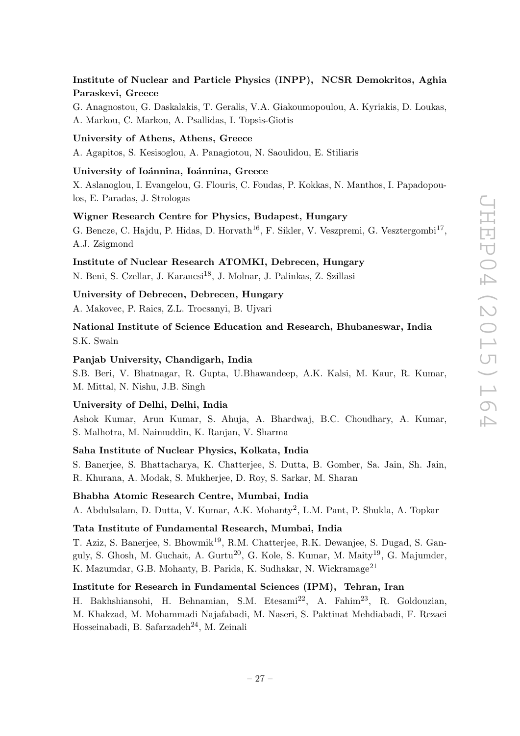# Institute of Nuclear and Particle Physics (INPP), NCSR Demokritos, Aghia Paraskevi, Greece

G. Anagnostou, G. Daskalakis, T. Geralis, V.A. Giakoumopoulou, A. Kyriakis, D. Loukas, A. Markou, C. Markou, A. Psallidas, I. Topsis-Giotis

#### University of Athens, Athens, Greece

A. Agapitos, S. Kesisoglou, A. Panagiotou, N. Saoulidou, E. Stiliaris

#### University of Ioánnina, Ioánnina, Greece

X. Aslanoglou, I. Evangelou, G. Flouris, C. Foudas, P. Kokkas, N. Manthos, I. Papadopoulos, E. Paradas, J. Strologas

# Wigner Research Centre for Physics, Budapest, Hungary

G. Bencze, C. Hajdu, P. Hidas, D. Horvath<sup>16</sup>, F. Sikler, V. Veszpremi, G. Vesztergombi<sup>17</sup>, A.J. Zsigmond

## Institute of Nuclear Research ATOMKI, Debrecen, Hungary

N. Beni, S. Czellar, J. Karancsi<sup>18</sup>, J. Molnar, J. Palinkas, Z. Szillasi

## University of Debrecen, Debrecen, Hungary

A. Makovec, P. Raics, Z.L. Trocsanyi, B. Ujvari

National Institute of Science Education and Research, Bhubaneswar, India S.K. Swain

### Panjab University, Chandigarh, India

S.B. Beri, V. Bhatnagar, R. Gupta, U.Bhawandeep, A.K. Kalsi, M. Kaur, R. Kumar, M. Mittal, N. Nishu, J.B. Singh

# University of Delhi, Delhi, India

Ashok Kumar, Arun Kumar, S. Ahuja, A. Bhardwaj, B.C. Choudhary, A. Kumar, S. Malhotra, M. Naimuddin, K. Ranjan, V. Sharma

#### Saha Institute of Nuclear Physics, Kolkata, India

S. Banerjee, S. Bhattacharya, K. Chatterjee, S. Dutta, B. Gomber, Sa. Jain, Sh. Jain, R. Khurana, A. Modak, S. Mukherjee, D. Roy, S. Sarkar, M. Sharan

#### Bhabha Atomic Research Centre, Mumbai, India

A. Abdulsalam, D. Dutta, V. Kumar, A.K. Mohanty<sup>2</sup>, L.M. Pant, P. Shukla, A. Topkar

### Tata Institute of Fundamental Research, Mumbai, India

T. Aziz, S. Banerjee, S. Bhowmik<sup>19</sup>, R.M. Chatterjee, R.K. Dewanjee, S. Dugad, S. Ganguly, S. Ghosh, M. Guchait, A. Gurtu<sup>20</sup>, G. Kole, S. Kumar, M. Maity<sup>19</sup>, G. Majumder, K. Mazumdar, G.B. Mohanty, B. Parida, K. Sudhakar, N. Wickramage<sup>21</sup>

# Institute for Research in Fundamental Sciences (IPM), Tehran, Iran

H. Bakhshiansohi, H. Behnamian, S.M. Etesami<sup>22</sup>, A. Fahim<sup>23</sup>, R. Goldouzian, M. Khakzad, M. Mohammadi Najafabadi, M. Naseri, S. Paktinat Mehdiabadi, F. Rezaei Hosseinabadi, B. Safarzadeh<sup>24</sup>, M. Zeinali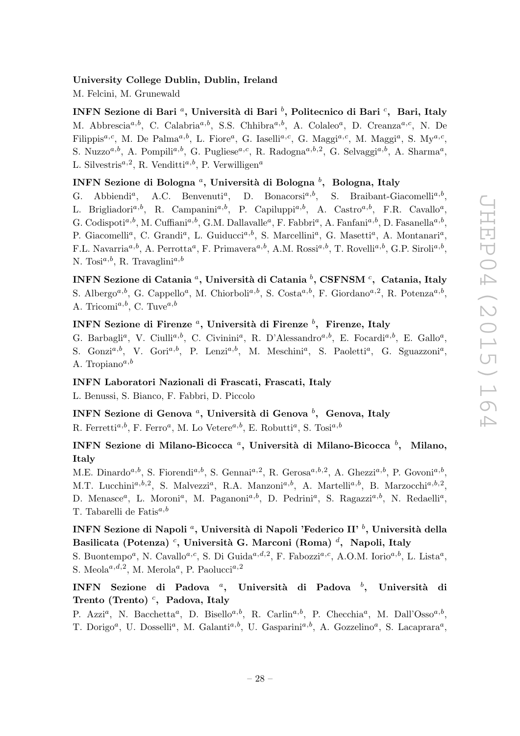### University College Dublin, Dublin, Ireland

M. Felcini, M. Grunewald

INFN Sezione di Bari <sup>a</sup>, Università di Bari  $^b$ , Politecnico di Bari  $^c$ , Bari, Italy M. Abbrescia<sup>a,b</sup>, C. Calabria<sup>a,b</sup>, S.S. Chhibra<sup>a,b</sup>, A. Colaleo<sup>a</sup>, D. Creanza<sup>a,c</sup>, N. De Filippis<sup>a,c</sup>, M. De Palma<sup>a,b</sup>, L. Fiore<sup>a</sup>, G. Iaselli<sup>a,c</sup>, G. Maggi<sup>a,c</sup>, M. Maggi<sup>a</sup>, S. My<sup>a,c</sup>, S. Nuzzo<sup>a,b</sup>, A. Pompili<sup>a,b</sup>, G. Pugliese<sup>a,c</sup>, R. Radogna<sup>a,b,2</sup>, G. Selvaggi<sup>a,b</sup>, A. Sharma<sup>a</sup>, L. Silvestris<sup>a, 2</sup>, R. Venditti<sup>a, b</sup>, P. Verwilligen<sup>a</sup>

# INFN Sezione di Bologna <sup>a</sup>, Università di Bologna  $^b$ , Bologna, Italy

G. Abbiendi<sup>a</sup>, , A.C. Benvenuti<sup>a</sup>, D. Bonacorsi<sup>a,b</sup>, S. Braibant-Giacomelli<sup>a,b</sup>, L. Brigliadori<sup>a,b</sup>, R. Campanini<sup>a,b</sup>, P. Capiluppi<sup>a,b</sup>, A. Castro<sup>a,b</sup>, F.R. Cavallo<sup>a</sup>, G. Codispoti<sup>a,b</sup>, M. Cuffiani<sup>a,b</sup>, G.M. Dallavalle<sup>a</sup>, F. Fabbri<sup>a</sup>, A. Fanfani<sup>a,b</sup>, D. Fasanella<sup>a,b</sup>, P. Giacomelli<sup>a</sup>, C. Grandi<sup>a</sup>, L. Guiducci<sup>a,b</sup>, S. Marcellini<sup>a</sup>, G. Masetti<sup>a</sup>, A. Montanari<sup>a</sup>, F.L. Navarria<sup>a,b</sup>, A. Perrotta<sup>a</sup>, F. Primavera<sup>a,b</sup>, A.M. Rossi<sup>a,b</sup>, T. Rovelli<sup>a,b</sup>, G.P. Siroli<sup>a,b</sup>, N. Tosi<sup> $a,b$ </sup>, R. Travaglini<sup> $a,b$ </sup>

# INFN Sezione di Catania <sup>a</sup>, Università di Catania  $^b,$  CSFNSM  $^c, \,$  Catania, Italy

S. Albergo<sup>a,b</sup>, G. Cappello<sup>a</sup>, M. Chiorboli<sup>a,b</sup>, S. Costa<sup>a,b</sup>, F. Giordano<sup>a,2</sup>, R. Potenza<sup>a,b</sup>, A. Tricomi<sup>a,b</sup>, C. Tuve<sup>a,b</sup>

# INFN Sezione di Firenze <sup>a</sup>, Università di Firenze  $^b$ , Firenze, Italy

G. Barbagli<sup>a</sup>, V. Ciulli<sup>a,b</sup>, C. Civinini<sup>a</sup>, R. D'Alessandro<sup>a,b</sup>, E. Focardi<sup>a,b</sup>, E. Gallo<sup>a</sup>, S. Gonzi<sup>a,b</sup>, V. Gori<sup>a,b</sup>, P. Lenzi<sup>a,b</sup>, M. Meschini<sup>a</sup>, S. Paoletti<sup>a</sup>, G. Sguazzoni<sup>a</sup>, A. Tropiano $a,b$ 

#### INFN Laboratori Nazionali di Frascati, Frascati, Italy

L. Benussi, S. Bianco, F. Fabbri, D. Piccolo

# INFN Sezione di Genova  $^a,$  Università di Genova  $^b, \,$  Genova, Italy

R. Ferretti<sup>a,b</sup>, F. Ferro<sup>a</sup>, M. Lo Vetere<sup>a,b</sup>, E. Robutti<sup>a</sup>, S. Tosi<sup>a,b</sup>

# INFN Sezione di Milano-Bicocca <sup>a</sup>, Università di Milano-Bicocca <sup>b</sup>, Milano, Italy

M.E. Dinardo<sup>a,b</sup>, S. Fiorendi<sup>a,b</sup>, S. Gennai<sup>a,2</sup>, R. Gerosa<sup>a,b,2</sup>, A. Ghezzi<sup>a,b</sup>, P. Govoni<sup>a,b</sup>, M.T. Lucchini<sup>a,b,2</sup>, S. Malvezzi<sup>a</sup>, R.A. Manzoni<sup>a,b</sup>, A. Martelli<sup>a,b</sup>, B. Marzocchi<sup>a,b,2</sup>, D. Menasce<sup>a</sup>, L. Moroni<sup>a</sup>, M. Paganoni<sup>a,b</sup>, D. Pedrini<sup>a</sup>, S. Ragazzi<sup>a,b</sup>, N. Redaelli<sup>a</sup>, T. Tabarelli de Fatis $a,b$ 

# INFN Sezione di Napoli <sup>a</sup>, Università di Napoli 'Federico II'  $^b,$  Università della Basilicata (Potenza)  $^c$ , Università G. Marconi (Roma)  $^d$ , Napoli, Italy

S. Buontempo<sup>a</sup>, N. Cavallo<sup>a,c</sup>, S. Di Guida<sup>a,d,2</sup>, F. Fabozzi<sup>a,c</sup>, A.O.M. Iorio<sup>a,b</sup>, L. Lista<sup>a</sup>, S. Meola<sup>a,d,2</sup>, M. Merola<sup>a</sup>, P. Paolucci<sup>a,2</sup>

# INFN Sezione di Padova <sup>a</sup>, Università di Padova <sup>b</sup>, Università di  **(Trento)<sup>c</sup>, Padova, Italy**

P. Azzi<sup>a</sup>, N. Bacchetta<sup>a</sup>, D. Bisello<sup>a,b</sup>, R. Carlin<sup>a,b</sup>, P. Checchia<sup>a</sup>, M. Dall'Osso<sup>a,b</sup>, T. Dorigo<sup>a</sup>, U. Dosselli<sup>a</sup>, M. Galanti<sup>a,b</sup>, U. Gasparini<sup>a,b</sup>, A. Gozzelino<sup>a</sup>, S. Lacaprara<sup>a</sup>,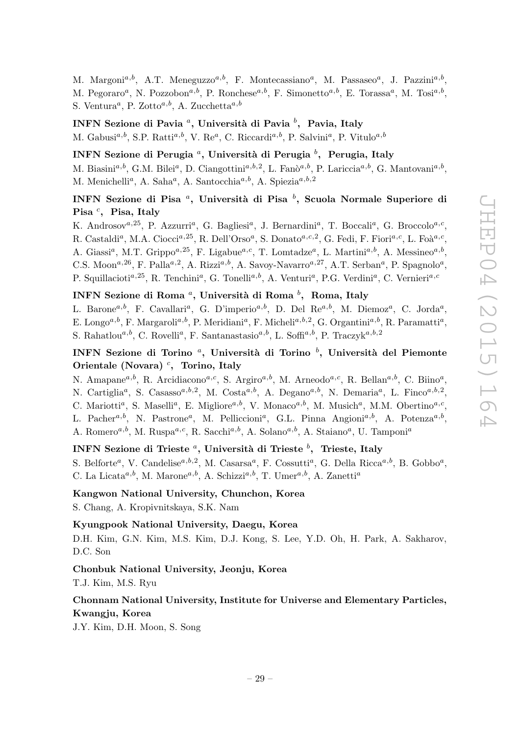M. Margoni<sup>a,b</sup>, A.T. Meneguzzo<sup>a,b</sup>, F. Montecassiano<sup>a</sup>, M. Passaseo<sup>a</sup>, J. Pazzini<sup>a,b</sup>, M. Pegoraro<sup>a</sup>, N. Pozzobon<sup>a,b</sup>, P. Ronchese<sup>a,b</sup>, F. Simonetto<sup>a,b</sup>, E. Torassa<sup>a</sup>, M. Tosi<sup>a,b</sup>, S. Ventura<sup>*a*</sup>, P. Zotto<sup>*a*, *b*</sup>, A. Zucchetta<sup>*a*, *b*</sup>

# INFN Sezione di Pavia <sup>a</sup>, Università di Pavia  $^b$ , Pavia, Italy

M. Gabusi<sup>a,b</sup>, S.P. Ratti<sup>a,b</sup>, V. Re<sup>a</sup>, C. Riccardi<sup>a,b</sup>, P. Salvini<sup>a</sup>, P. Vitulo<sup>a,b</sup>

# INFN Sezione di Perugia  $^a,$  Università di Perugia  $^b,~$  Perugia, Italy

M. Biasini<sup>a,b</sup>, G.M. Bilei<sup>a</sup>, D. Ciangottini<sup>a,b,2</sup>, L. Fanò<sup>a,b</sup>, P. Lariccia<sup>a,b</sup>, G. Mantovani<sup>a,b</sup>, M. Menichelli<sup>a</sup>, A. Saha<sup>a</sup>, A. Santocchia<sup>a,b</sup>, A. Spiezia<sup>a,b,2</sup>

# INFN Sezione di Pisa <sup>a</sup>, Università di Pisa <sup>b</sup>, Scuola Normale Superiore di Pisa<sup>c</sup>, Pisa, Italy

K. Androsov<sup>a, 25</sup>, P. Azzurri<sup>a</sup>, G. Bagliesi<sup>a</sup>, J. Bernardini<sup>a</sup>, T. Boccali<sup>a</sup>, G. Broccolo<sup>a, c</sup>, R. Castaldi<sup>a</sup>, M.A. Ciocci<sup>a, 25</sup>, R. Dell'Orso<sup>a</sup>, S. Donato<sup>a, c, 2</sup>, G. Fedi, F. Fiori<sup>a, c</sup>, L. Foà<sup>a, c</sup>, A. Giassi<sup>a</sup>, M.T. Grippo<sup>a, 25</sup>, F. Ligabue<sup>a, c</sup>, T. Lomtadze<sup>a</sup>, L. Martini<sup>a, b</sup>, A. Messineo<sup>a, b</sup>, C.S. Moon<sup>a, 26</sup>, F. Palla<sup>a, 2</sup>, A. Rizzi<sup>a, b</sup>, A. Savoy-Navarro<sup>a, 27</sup>, A.T. Serban<sup>a</sup>, P. Spagnolo<sup>a</sup>, P. Squillacioti<sup>a, 25</sup>, R. Tenchini<sup>a</sup>, G. Tonelli<sup>a, b</sup>, A. Venturi<sup>a</sup>, P.G. Verdini<sup>a</sup>, C. Vernieri<sup>a, c</sup>

# INFN Sezione di Roma  $^a,$  Università di Roma  $^b, \, \,$  Roma, Italy

L. Barone<sup>a,b</sup>, F. Cavallari<sup>a</sup>, G. D'imperio<sup>a,b</sup>, D. Del Re<sup>a,b</sup>, M. Diemoz<sup>a</sup>, C. Jorda<sup>a</sup>, E. Longo<sup>a,b</sup>, F. Margaroli<sup>a,b</sup>, P. Meridiani<sup>a</sup>, F. Micheli<sup>a,b,2</sup>, G. Organtini<sup>a,b</sup>, R. Paramatti<sup>a</sup>, S. Rahatlou<sup>a,b</sup>, C. Rovelli<sup>a</sup>, F. Santanastasio<sup>a,b</sup>, L. Soffi<sup>a,b</sup>, P. Traczyk<sup>a,b,2</sup>

# INFN Sezione di Torino <sup>a</sup>, Università di Torino <sup>b</sup>, Università del Piemonte Orientale (Novara)<sup>c</sup>, Torino, Italy

N. Amapane<sup>a,b</sup>, R. Arcidiacono<sup>a,c</sup>, S. Argiro<sup>a,b</sup>, M. Arneodo<sup>a,c</sup>, R. Bellan<sup>a,b</sup>, C. Biino<sup>a</sup>, N. Cartiglia<sup>a</sup>, S. Casasso<sup>a,b,2</sup>, M. Costa<sup>a,b</sup>, A. Degano<sup>a,b</sup>, N. Demaria<sup>a</sup>, L. Finco<sup>a,b,2</sup>, C. Mariotti<sup>a</sup>, S. Maselli<sup>a</sup>, E. Migliore<sup>a,b</sup>, V. Monaco<sup>a,b</sup>, M. Musich<sup>a</sup>, M.M. Obertino<sup>a,c</sup>, L. Pacher<sup>a,b</sup>, N. Pastrone<sup>a</sup>, M. Pelliccioni<sup>a</sup>, G.L. Pinna Angioni<sup>a,b</sup>, A. Potenza<sup>a,b</sup>, A. Romero<sup>a,b</sup>, M. Ruspa<sup>a,c</sup>, R. Sacchi<sup>a,b</sup>, A. Solano<sup>a,b</sup>, A. Staiano<sup>a</sup>, U. Tamponi<sup>a</sup>

# INFN Sezione di Trieste <sup>a</sup>, Università di Trieste  $^b$ , Trieste, Italy

S. Belforte<sup>a</sup>, V. Candelise<sup>a,b,2</sup>, M. Casarsa<sup>a</sup>, F. Cossutti<sup>a</sup>, G. Della Ricca<sup>a,b</sup>, B. Gobbo<sup>a</sup>, C. La Licata<sup>a,b</sup>, M. Marone<sup>a,b</sup>, A. Schizzi<sup>a,b</sup>, T. Umer<sup>a,b</sup>, A. Zanetti<sup>a</sup>

# Kangwon National University, Chunchon, Korea

S. Chang, A. Kropivnitskaya, S.K. Nam

### Kyungpook National University, Daegu, Korea

D.H. Kim, G.N. Kim, M.S. Kim, D.J. Kong, S. Lee, Y.D. Oh, H. Park, A. Sakharov, D.C. Son

### Chonbuk National University, Jeonju, Korea

T.J. Kim, M.S. Ryu

# Chonnam National University, Institute for Universe and Elementary Particles, Kwangju, Korea

J.Y. Kim, D.H. Moon, S. Song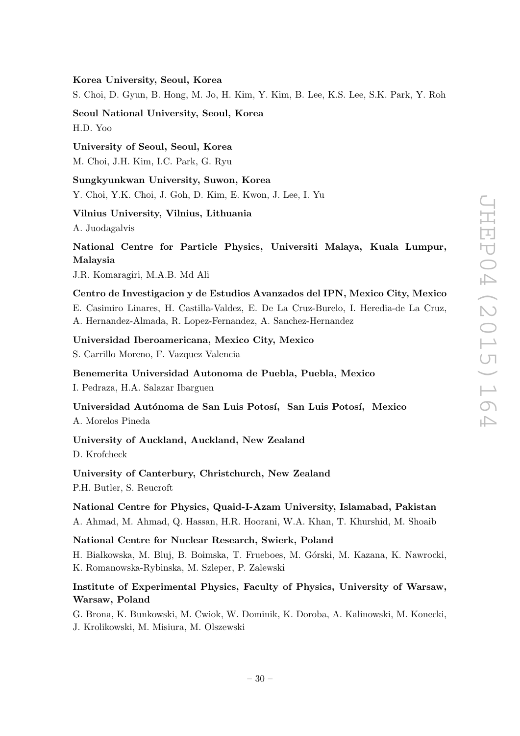# Korea University, Seoul, Korea

S. Choi, D. Gyun, B. Hong, M. Jo, H. Kim, Y. Kim, B. Lee, K.S. Lee, S.K. Park, Y. Roh

Seoul National University, Seoul, Korea H.D. Yoo

University of Seoul, Seoul, Korea M. Choi, J.H. Kim, I.C. Park, G. Ryu

Sungkyunkwan University, Suwon, Korea Y. Choi, Y.K. Choi, J. Goh, D. Kim, E. Kwon, J. Lee, I. Yu

Vilnius University, Vilnius, Lithuania

A. Juodagalvis

# National Centre for Particle Physics, Universiti Malaya, Kuala Lumpur, Malaysia

J.R. Komaragiri, M.A.B. Md Ali

Centro de Investigacion y de Estudios Avanzados del IPN, Mexico City, Mexico E. Casimiro Linares, H. Castilla-Valdez, E. De La Cruz-Burelo, I. Heredia-de La Cruz, A. Hernandez-Almada, R. Lopez-Fernandez, A. Sanchez-Hernandez

Universidad Iberoamericana, Mexico City, Mexico

S. Carrillo Moreno, F. Vazquez Valencia

Benemerita Universidad Autonoma de Puebla, Puebla, Mexico

I. Pedraza, H.A. Salazar Ibarguen

Universidad Autónoma de San Luis Potosí, San Luis Potosí, Mexico A. Morelos Pineda

#### University of Auckland, Auckland, New Zealand

D. Krofcheck

University of Canterbury, Christchurch, New Zealand P.H. Butler, S. Reucroft

# National Centre for Physics, Quaid-I-Azam University, Islamabad, Pakistan A. Ahmad, M. Ahmad, Q. Hassan, H.R. Hoorani, W.A. Khan, T. Khurshid, M. Shoaib

National Centre for Nuclear Research, Swierk, Poland H. Bialkowska, M. Bluj, B. Boimska, T. Frueboes, M. G´orski, M. Kazana, K. Nawrocki,

K. Romanowska-Rybinska, M. Szleper, P. Zalewski

# Institute of Experimental Physics, Faculty of Physics, University of Warsaw, Warsaw, Poland

G. Brona, K. Bunkowski, M. Cwiok, W. Dominik, K. Doroba, A. Kalinowski, M. Konecki, J. Krolikowski, M. Misiura, M. Olszewski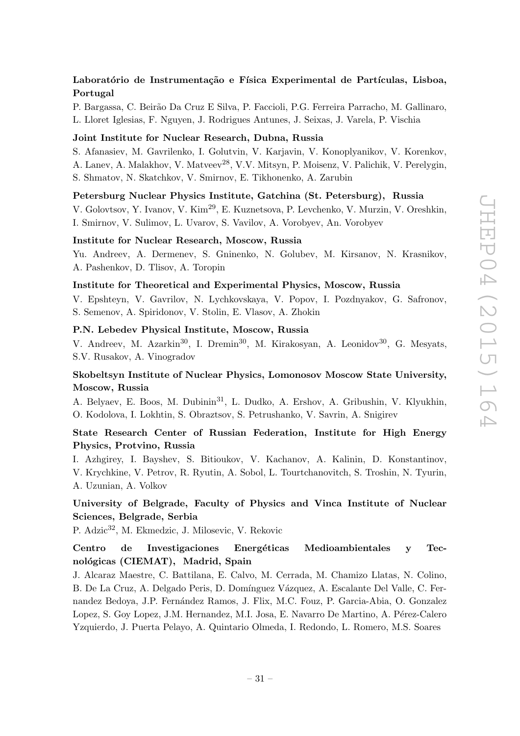# Laboratório de Instrumentação e Física Experimental de Partículas, Lisboa, Portugal

P. Bargassa, C. Beirão Da Cruz E Silva, P. Faccioli, P.G. Ferreira Parracho, M. Gallinaro, L. Lloret Iglesias, F. Nguyen, J. Rodrigues Antunes, J. Seixas, J. Varela, P. Vischia

### Joint Institute for Nuclear Research, Dubna, Russia

S. Afanasiev, M. Gavrilenko, I. Golutvin, V. Karjavin, V. Konoplyanikov, V. Korenkov,

A. Lanev, A. Malakhov, V. Matveev<sup>28</sup>, V.V. Mitsyn, P. Moisenz, V. Palichik, V. Perelygin, S. Shmatov, N. Skatchkov, V. Smirnov, E. Tikhonenko, A. Zarubin

#### Petersburg Nuclear Physics Institute, Gatchina (St. Petersburg), Russia

V. Golovtsov, Y. Ivanov, V. Kim29, E. Kuznetsova, P. Levchenko, V. Murzin, V. Oreshkin, I. Smirnov, V. Sulimov, L. Uvarov, S. Vavilov, A. Vorobyev, An. Vorobyev

#### Institute for Nuclear Research, Moscow, Russia

Yu. Andreev, A. Dermenev, S. Gninenko, N. Golubev, M. Kirsanov, N. Krasnikov, A. Pashenkov, D. Tlisov, A. Toropin

### Institute for Theoretical and Experimental Physics, Moscow, Russia

V. Epshteyn, V. Gavrilov, N. Lychkovskaya, V. Popov, I. Pozdnyakov, G. Safronov, S. Semenov, A. Spiridonov, V. Stolin, E. Vlasov, A. Zhokin

## P.N. Lebedev Physical Institute, Moscow, Russia

V. Andreev, M. Azarkin<sup>30</sup>, I. Dremin<sup>30</sup>, M. Kirakosyan, A. Leonidov<sup>30</sup>, G. Mesyats, S.V. Rusakov, A. Vinogradov

# Skobeltsyn Institute of Nuclear Physics, Lomonosov Moscow State University, Moscow, Russia

A. Belyaev, E. Boos, M. Dubinin<sup>31</sup>, L. Dudko, A. Ershov, A. Gribushin, V. Klyukhin, O. Kodolova, I. Lokhtin, S. Obraztsov, S. Petrushanko, V. Savrin, A. Snigirev

# State Research Center of Russian Federation, Institute for High Energy Physics, Protvino, Russia

I. Azhgirey, I. Bayshev, S. Bitioukov, V. Kachanov, A. Kalinin, D. Konstantinov, V. Krychkine, V. Petrov, R. Ryutin, A. Sobol, L. Tourtchanovitch, S. Troshin, N. Tyurin, A. Uzunian, A. Volkov

# University of Belgrade, Faculty of Physics and Vinca Institute of Nuclear Sciences, Belgrade, Serbia

P. Adzic<sup>32</sup>, M. Ekmedzic, J. Milosevic, V. Rekovic

# Centro de Investigaciones Energéticas Medioambientales y Tecnológicas (CIEMAT), Madrid, Spain

J. Alcaraz Maestre, C. Battilana, E. Calvo, M. Cerrada, M. Chamizo Llatas, N. Colino, B. De La Cruz, A. Delgado Peris, D. Domínguez Vázquez, A. Escalante Del Valle, C. Fernandez Bedoya, J.P. Fernández Ramos, J. Flix, M.C. Fouz, P. Garcia-Abia, O. Gonzalez Lopez, S. Goy Lopez, J.M. Hernandez, M.I. Josa, E. Navarro De Martino, A. Pérez-Calero Yzquierdo, J. Puerta Pelayo, A. Quintario Olmeda, I. Redondo, L. Romero, M.S. Soares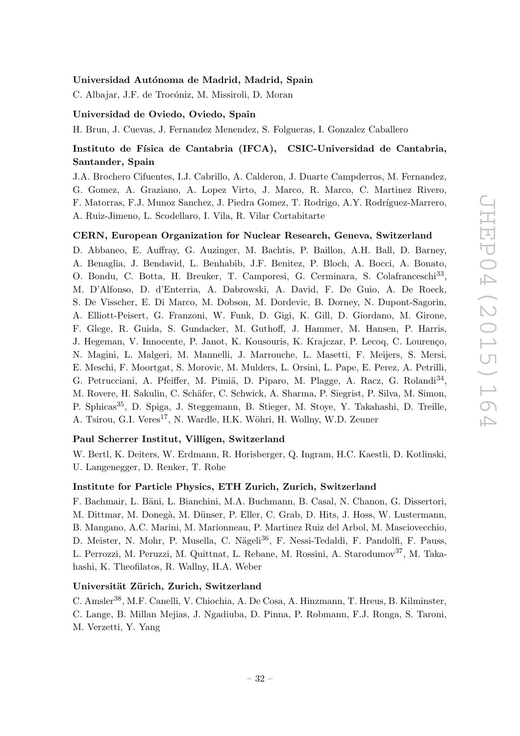#### Universidad Autónoma de Madrid, Madrid, Spain

C. Albajar, J.F. de Trocóniz, M. Missiroli, D. Moran

#### Universidad de Oviedo, Oviedo, Spain

H. Brun, J. Cuevas, J. Fernandez Menendez, S. Folgueras, I. Gonzalez Caballero

# Instituto de Física de Cantabria (IFCA), CSIC-Universidad de Cantabria, Santander, Spain

J.A. Brochero Cifuentes, I.J. Cabrillo, A. Calderon, J. Duarte Campderros, M. Fernandez, G. Gomez, A. Graziano, A. Lopez Virto, J. Marco, R. Marco, C. Martinez Rivero, F. Matorras, F.J. Munoz Sanchez, J. Piedra Gomez, T. Rodrigo, A.Y. Rodríguez-Marrero, A. Ruiz-Jimeno, L. Scodellaro, I. Vila, R. Vilar Cortabitarte

### CERN, European Organization for Nuclear Research, Geneva, Switzerland

D. Abbaneo, E. Auffray, G. Auzinger, M. Bachtis, P. Baillon, A.H. Ball, D. Barney, A. Benaglia, J. Bendavid, L. Benhabib, J.F. Benitez, P. Bloch, A. Bocci, A. Bonato, O. Bondu, C. Botta, H. Breuker, T. Camporesi, G. Cerminara, S. Colafranceschi<sup>33</sup>, M. D'Alfonso, D. d'Enterria, A. Dabrowski, A. David, F. De Guio, A. De Roeck, S. De Visscher, E. Di Marco, M. Dobson, M. Dordevic, B. Dorney, N. Dupont-Sagorin, A. Elliott-Peisert, G. Franzoni, W. Funk, D. Gigi, K. Gill, D. Giordano, M. Girone, F. Glege, R. Guida, S. Gundacker, M. Guthoff, J. Hammer, M. Hansen, P. Harris, J. Hegeman, V. Innocente, P. Janot, K. Kousouris, K. Krajczar, P. Lecoq, C. Lourenço, N. Magini, L. Malgeri, M. Mannelli, J. Marrouche, L. Masetti, F. Meijers, S. Mersi, E. Meschi, F. Moortgat, S. Morovic, M. Mulders, L. Orsini, L. Pape, E. Perez, A. Petrilli, G. Petrucciani, A. Pfeiffer, M. Pimiä, D. Piparo, M. Plagge, A. Racz, G. Rolandi<sup>34</sup>, M. Rovere, H. Sakulin, C. Schäfer, C. Schwick, A. Sharma, P. Siegrist, P. Silva, M. Simon, P. Sphicas<sup>35</sup>, D. Spiga, J. Steggemann, B. Stieger, M. Stoye, Y. Takahashi, D. Treille, A. Tsirou, G.I. Veres<sup>17</sup>, N. Wardle, H.K. Wöhri, H. Wollny, W.D. Zeuner

# Paul Scherrer Institut, Villigen, Switzerland

W. Bertl, K. Deiters, W. Erdmann, R. Horisberger, Q. Ingram, H.C. Kaestli, D. Kotlinski, U. Langenegger, D. Renker, T. Rohe

# Institute for Particle Physics, ETH Zurich, Zurich, Switzerland

F. Bachmair, L. Bäni, L. Bianchini, M.A. Buchmann, B. Casal, N. Chanon, G. Dissertori, M. Dittmar, M. Donegà, M. Dünser, P. Eller, C. Grab, D. Hits, J. Hoss, W. Lustermann, B. Mangano, A.C. Marini, M. Marionneau, P. Martinez Ruiz del Arbol, M. Masciovecchio, D. Meister, N. Mohr, P. Musella, C. Nägeli<sup>36</sup>, F. Nessi-Tedaldi, F. Pandolfi, F. Pauss, L. Perrozzi, M. Peruzzi, M. Quittnat, L. Rebane, M. Rossini, A. Starodumov<sup>37</sup>, M. Takahashi, K. Theofilatos, R. Wallny, H.A. Weber

### Universität Zürich, Zurich, Switzerland

C. Amsler38, M.F. Canelli, V. Chiochia, A. De Cosa, A. Hinzmann, T. Hreus, B. Kilminster, C. Lange, B. Millan Mejias, J. Ngadiuba, D. Pinna, P. Robmann, F.J. Ronga, S. Taroni, M. Verzetti, Y. Yang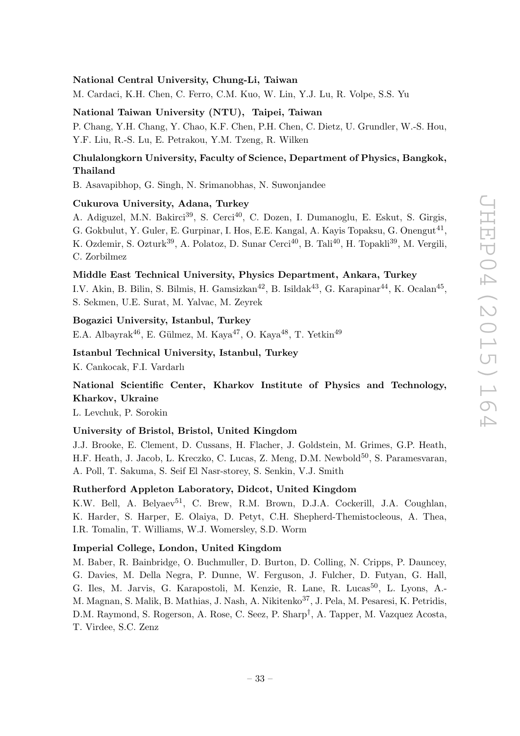## National Central University, Chung-Li, Taiwan

M. Cardaci, K.H. Chen, C. Ferro, C.M. Kuo, W. Lin, Y.J. Lu, R. Volpe, S.S. Yu

#### National Taiwan University (NTU), Taipei, Taiwan

P. Chang, Y.H. Chang, Y. Chao, K.F. Chen, P.H. Chen, C. Dietz, U. Grundler, W.-S. Hou, Y.F. Liu, R.-S. Lu, E. Petrakou, Y.M. Tzeng, R. Wilken

# Chulalongkorn University, Faculty of Science, Department of Physics, Bangkok, Thailand

B. Asavapibhop, G. Singh, N. Srimanobhas, N. Suwonjandee

#### Cukurova University, Adana, Turkey

A. Adiguzel, M.N. Bakirci<sup>39</sup>, S. Cerci<sup>40</sup>, C. Dozen, I. Dumanoglu, E. Eskut, S. Girgis, G. Gokbulut, Y. Guler, E. Gurpinar, I. Hos, E.E. Kangal, A. Kayis Topaksu, G. Onengut<sup>41</sup>, K. Ozdemir, S. Ozturk<sup>39</sup>, A. Polatoz, D. Sunar Cerci<sup>40</sup>, B. Tali<sup>40</sup>, H. Topakli<sup>39</sup>, M. Vergili, C. Zorbilmez

# Middle East Technical University, Physics Department, Ankara, Turkey

I.V. Akin, B. Bilin, S. Bilmis, H. Gamsizkan<sup>42</sup>, B. Isildak<sup>43</sup>, G. Karapinar<sup>44</sup>, K. Ocalan<sup>45</sup>, S. Sekmen, U.E. Surat, M. Yalvac, M. Zeyrek

# Bogazici University, Istanbul, Turkey

E.A. Albayrak<sup>46</sup>, E. Gülmez, M. Kaya<sup>47</sup>, O. Kaya<sup>48</sup>, T. Yetkin<sup>49</sup>

# Istanbul Technical University, Istanbul, Turkey

K. Cankocak, F.I. Vardarlı

# National Scientific Center, Kharkov Institute of Physics and Technology, Kharkov, Ukraine

L. Levchuk, P. Sorokin

### University of Bristol, Bristol, United Kingdom

J.J. Brooke, E. Clement, D. Cussans, H. Flacher, J. Goldstein, M. Grimes, G.P. Heath, H.F. Heath, J. Jacob, L. Kreczko, C. Lucas, Z. Meng, D.M. Newbold<sup>50</sup>, S. Paramesvaran, A. Poll, T. Sakuma, S. Seif El Nasr-storey, S. Senkin, V.J. Smith

#### Rutherford Appleton Laboratory, Didcot, United Kingdom

K.W. Bell, A. Belyaev<sup>51</sup>, C. Brew, R.M. Brown, D.J.A. Cockerill, J.A. Coughlan, K. Harder, S. Harper, E. Olaiya, D. Petyt, C.H. Shepherd-Themistocleous, A. Thea, I.R. Tomalin, T. Williams, W.J. Womersley, S.D. Worm

#### Imperial College, London, United Kingdom

M. Baber, R. Bainbridge, O. Buchmuller, D. Burton, D. Colling, N. Cripps, P. Dauncey, G. Davies, M. Della Negra, P. Dunne, W. Ferguson, J. Fulcher, D. Futyan, G. Hall, G. Iles, M. Jarvis, G. Karapostoli, M. Kenzie, R. Lane, R. Lucas<sup>50</sup>, L. Lyons, A.-M. Magnan, S. Malik, B. Mathias, J. Nash, A. Nikitenko<sup>37</sup>, J. Pela, M. Pesaresi, K. Petridis, D.M. Raymond, S. Rogerson, A. Rose, C. Seez, P. Sharp† , A. Tapper, M. Vazquez Acosta, T. Virdee, S.C. Zenz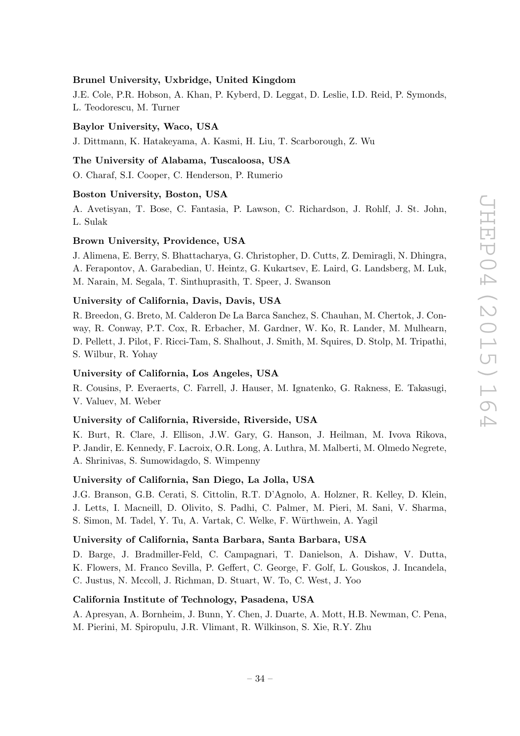### Brunel University, Uxbridge, United Kingdom

J.E. Cole, P.R. Hobson, A. Khan, P. Kyberd, D. Leggat, D. Leslie, I.D. Reid, P. Symonds, L. Teodorescu, M. Turner

#### Baylor University, Waco, USA

J. Dittmann, K. Hatakeyama, A. Kasmi, H. Liu, T. Scarborough, Z. Wu

#### The University of Alabama, Tuscaloosa, USA

O. Charaf, S.I. Cooper, C. Henderson, P. Rumerio

#### Boston University, Boston, USA

A. Avetisyan, T. Bose, C. Fantasia, P. Lawson, C. Richardson, J. Rohlf, J. St. John, L. Sulak

#### Brown University, Providence, USA

J. Alimena, E. Berry, S. Bhattacharya, G. Christopher, D. Cutts, Z. Demiragli, N. Dhingra, A. Ferapontov, A. Garabedian, U. Heintz, G. Kukartsev, E. Laird, G. Landsberg, M. Luk, M. Narain, M. Segala, T. Sinthuprasith, T. Speer, J. Swanson

#### University of California, Davis, Davis, USA

R. Breedon, G. Breto, M. Calderon De La Barca Sanchez, S. Chauhan, M. Chertok, J. Conway, R. Conway, P.T. Cox, R. Erbacher, M. Gardner, W. Ko, R. Lander, M. Mulhearn, D. Pellett, J. Pilot, F. Ricci-Tam, S. Shalhout, J. Smith, M. Squires, D. Stolp, M. Tripathi, S. Wilbur, R. Yohay

#### University of California, Los Angeles, USA

R. Cousins, P. Everaerts, C. Farrell, J. Hauser, M. Ignatenko, G. Rakness, E. Takasugi, V. Valuev, M. Weber

# University of California, Riverside, Riverside, USA

K. Burt, R. Clare, J. Ellison, J.W. Gary, G. Hanson, J. Heilman, M. Ivova Rikova, P. Jandir, E. Kennedy, F. Lacroix, O.R. Long, A. Luthra, M. Malberti, M. Olmedo Negrete, A. Shrinivas, S. Sumowidagdo, S. Wimpenny

#### University of California, San Diego, La Jolla, USA

J.G. Branson, G.B. Cerati, S. Cittolin, R.T. D'Agnolo, A. Holzner, R. Kelley, D. Klein, J. Letts, I. Macneill, D. Olivito, S. Padhi, C. Palmer, M. Pieri, M. Sani, V. Sharma, S. Simon, M. Tadel, Y. Tu, A. Vartak, C. Welke, F. Würthwein, A. Yagil

# University of California, Santa Barbara, Santa Barbara, USA

D. Barge, J. Bradmiller-Feld, C. Campagnari, T. Danielson, A. Dishaw, V. Dutta, K. Flowers, M. Franco Sevilla, P. Geffert, C. George, F. Golf, L. Gouskos, J. Incandela, C. Justus, N. Mccoll, J. Richman, D. Stuart, W. To, C. West, J. Yoo

#### California Institute of Technology, Pasadena, USA

A. Apresyan, A. Bornheim, J. Bunn, Y. Chen, J. Duarte, A. Mott, H.B. Newman, C. Pena, M. Pierini, M. Spiropulu, J.R. Vlimant, R. Wilkinson, S. Xie, R.Y. Zhu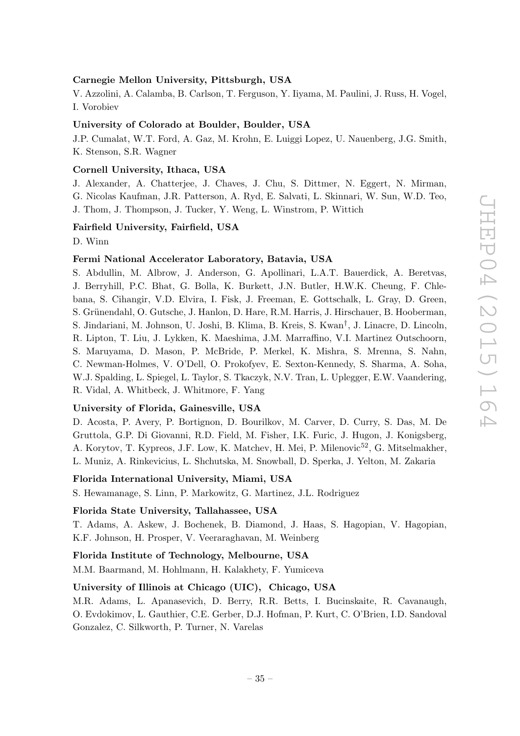# Carnegie Mellon University, Pittsburgh, USA

V. Azzolini, A. Calamba, B. Carlson, T. Ferguson, Y. Iiyama, M. Paulini, J. Russ, H. Vogel, I. Vorobiev

#### University of Colorado at Boulder, Boulder, USA

J.P. Cumalat, W.T. Ford, A. Gaz, M. Krohn, E. Luiggi Lopez, U. Nauenberg, J.G. Smith, K. Stenson, S.R. Wagner

# Cornell University, Ithaca, USA

J. Alexander, A. Chatterjee, J. Chaves, J. Chu, S. Dittmer, N. Eggert, N. Mirman, G. Nicolas Kaufman, J.R. Patterson, A. Ryd, E. Salvati, L. Skinnari, W. Sun, W.D. Teo, J. Thom, J. Thompson, J. Tucker, Y. Weng, L. Winstrom, P. Wittich

# Fairfield University, Fairfield, USA

D. Winn

### Fermi National Accelerator Laboratory, Batavia, USA

S. Abdullin, M. Albrow, J. Anderson, G. Apollinari, L.A.T. Bauerdick, A. Beretvas, J. Berryhill, P.C. Bhat, G. Bolla, K. Burkett, J.N. Butler, H.W.K. Cheung, F. Chlebana, S. Cihangir, V.D. Elvira, I. Fisk, J. Freeman, E. Gottschalk, L. Gray, D. Green, S. Grünendahl, O. Gutsche, J. Hanlon, D. Hare, R.M. Harris, J. Hirschauer, B. Hooberman, S. Jindariani, M. Johnson, U. Joshi, B. Klima, B. Kreis, S. Kwan† , J. Linacre, D. Lincoln, R. Lipton, T. Liu, J. Lykken, K. Maeshima, J.M. Marraffino, V.I. Martinez Outschoorn, S. Maruyama, D. Mason, P. McBride, P. Merkel, K. Mishra, S. Mrenna, S. Nahn, C. Newman-Holmes, V. O'Dell, O. Prokofyev, E. Sexton-Kennedy, S. Sharma, A. Soha, W.J. Spalding, L. Spiegel, L. Taylor, S. Tkaczyk, N.V. Tran, L. Uplegger, E.W. Vaandering, R. Vidal, A. Whitbeck, J. Whitmore, F. Yang

#### University of Florida, Gainesville, USA

D. Acosta, P. Avery, P. Bortignon, D. Bourilkov, M. Carver, D. Curry, S. Das, M. De Gruttola, G.P. Di Giovanni, R.D. Field, M. Fisher, I.K. Furic, J. Hugon, J. Konigsberg, A. Korytov, T. Kypreos, J.F. Low, K. Matchev, H. Mei, P. Milenovic<sup>52</sup>, G. Mitselmakher, L. Muniz, A. Rinkevicius, L. Shchutska, M. Snowball, D. Sperka, J. Yelton, M. Zakaria

#### Florida International University, Miami, USA

S. Hewamanage, S. Linn, P. Markowitz, G. Martinez, J.L. Rodriguez

#### Florida State University, Tallahassee, USA

T. Adams, A. Askew, J. Bochenek, B. Diamond, J. Haas, S. Hagopian, V. Hagopian, K.F. Johnson, H. Prosper, V. Veeraraghavan, M. Weinberg

### Florida Institute of Technology, Melbourne, USA

M.M. Baarmand, M. Hohlmann, H. Kalakhety, F. Yumiceva

# University of Illinois at Chicago (UIC), Chicago, USA

M.R. Adams, L. Apanasevich, D. Berry, R.R. Betts, I. Bucinskaite, R. Cavanaugh, O. Evdokimov, L. Gauthier, C.E. Gerber, D.J. Hofman, P. Kurt, C. O'Brien, I.D. Sandoval Gonzalez, C. Silkworth, P. Turner, N. Varelas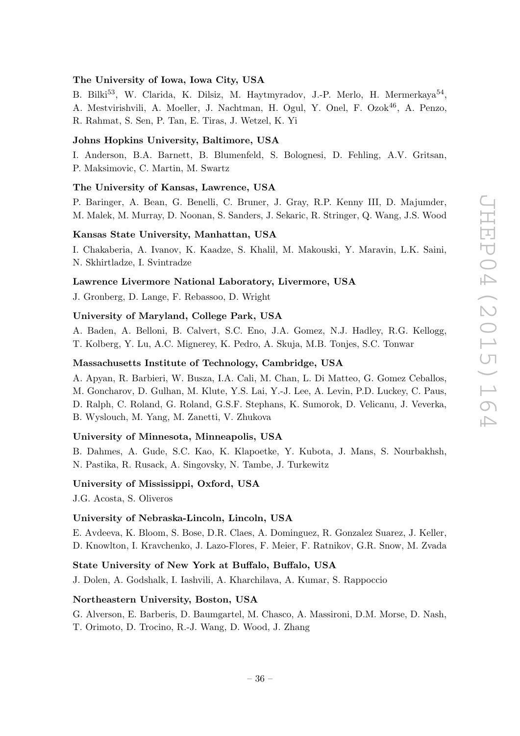#### The University of Iowa, Iowa City, USA

B. Bilki<sup>53</sup>, W. Clarida, K. Dilsiz, M. Haytmyradov, J.-P. Merlo, H. Mermerkaya<sup>54</sup>, A. Mestvirishvili, A. Moeller, J. Nachtman, H. Ogul, Y. Onel, F. Ozok<sup>46</sup>, A. Penzo, R. Rahmat, S. Sen, P. Tan, E. Tiras, J. Wetzel, K. Yi

### Johns Hopkins University, Baltimore, USA

I. Anderson, B.A. Barnett, B. Blumenfeld, S. Bolognesi, D. Fehling, A.V. Gritsan, P. Maksimovic, C. Martin, M. Swartz

#### The University of Kansas, Lawrence, USA

P. Baringer, A. Bean, G. Benelli, C. Bruner, J. Gray, R.P. Kenny III, D. Majumder, M. Malek, M. Murray, D. Noonan, S. Sanders, J. Sekaric, R. Stringer, Q. Wang, J.S. Wood

#### Kansas State University, Manhattan, USA

I. Chakaberia, A. Ivanov, K. Kaadze, S. Khalil, M. Makouski, Y. Maravin, L.K. Saini, N. Skhirtladze, I. Svintradze

### Lawrence Livermore National Laboratory, Livermore, USA

J. Gronberg, D. Lange, F. Rebassoo, D. Wright

#### University of Maryland, College Park, USA

A. Baden, A. Belloni, B. Calvert, S.C. Eno, J.A. Gomez, N.J. Hadley, R.G. Kellogg, T. Kolberg, Y. Lu, A.C. Mignerey, K. Pedro, A. Skuja, M.B. Tonjes, S.C. Tonwar

#### Massachusetts Institute of Technology, Cambridge, USA

A. Apyan, R. Barbieri, W. Busza, I.A. Cali, M. Chan, L. Di Matteo, G. Gomez Ceballos, M. Goncharov, D. Gulhan, M. Klute, Y.S. Lai, Y.-J. Lee, A. Levin, P.D. Luckey, C. Paus, D. Ralph, C. Roland, G. Roland, G.S.F. Stephans, K. Sumorok, D. Velicanu, J. Veverka, B. Wyslouch, M. Yang, M. Zanetti, V. Zhukova

### University of Minnesota, Minneapolis, USA

B. Dahmes, A. Gude, S.C. Kao, K. Klapoetke, Y. Kubota, J. Mans, S. Nourbakhsh, N. Pastika, R. Rusack, A. Singovsky, N. Tambe, J. Turkewitz

### University of Mississippi, Oxford, USA

J.G. Acosta, S. Oliveros

### University of Nebraska-Lincoln, Lincoln, USA

E. Avdeeva, K. Bloom, S. Bose, D.R. Claes, A. Dominguez, R. Gonzalez Suarez, J. Keller, D. Knowlton, I. Kravchenko, J. Lazo-Flores, F. Meier, F. Ratnikov, G.R. Snow, M. Zvada

#### State University of New York at Buffalo, Buffalo, USA

J. Dolen, A. Godshalk, I. Iashvili, A. Kharchilava, A. Kumar, S. Rappoccio

#### Northeastern University, Boston, USA

G. Alverson, E. Barberis, D. Baumgartel, M. Chasco, A. Massironi, D.M. Morse, D. Nash,

T. Orimoto, D. Trocino, R.-J. Wang, D. Wood, J. Zhang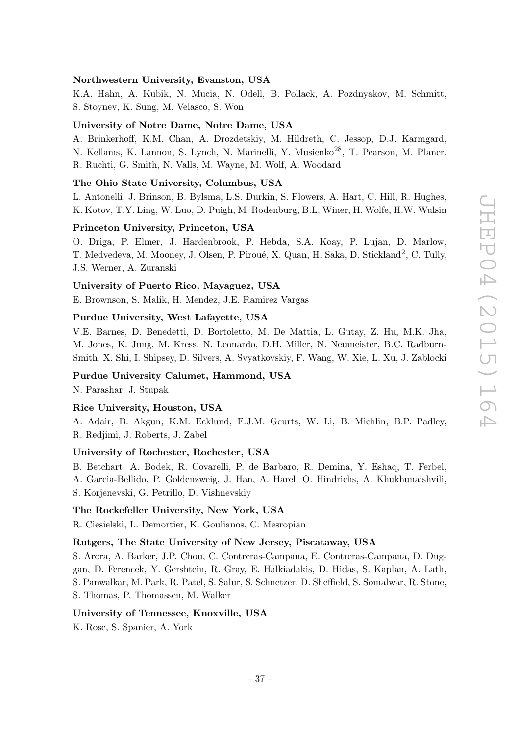#### Northwestern University, Evanston, USA

K.A. Hahn, A. Kubik, N. Mucia, N. Odell, B. Pollack, A. Pozdnyakov, M. Schmitt, S. Stoynev, K. Sung, M. Velasco, S. Won

#### University of Notre Dame, Notre Dame, USA

A. Brinkerhoff, K.M. Chan, A. Drozdetskiy, M. Hildreth, C. Jessop, D.J. Karmgard, N. Kellams, K. Lannon, S. Lynch, N. Marinelli, Y. Musienko<sup>28</sup>, T. Pearson, M. Planer, R. Ruchti, G. Smith, N. Valls, M. Wayne, M. Wolf, A. Woodard

#### The Ohio State University, Columbus, USA

L. Antonelli, J. Brinson, B. Bylsma, L.S. Durkin, S. Flowers, A. Hart, C. Hill, R. Hughes, K. Kotov, T.Y. Ling, W. Luo, D. Puigh, M. Rodenburg, B.L. Winer, H. Wolfe, H.W. Wulsin

#### Princeton University, Princeton, USA

O. Driga, P. Elmer, J. Hardenbrook, P. Hebda, S.A. Koay, P. Lujan, D. Marlow, T. Medvedeva, M. Mooney, J. Olsen, P. Piroué, X. Quan, H. Saka, D. Stickland<sup>2</sup>, C. Tully, J.S. Werner, A. Zuranski

#### University of Puerto Rico, Mayaguez, USA

E. Brownson, S. Malik, H. Mendez, J.E. Ramirez Vargas

#### Purdue University, West Lafayette, USA

V.E. Barnes, D. Benedetti, D. Bortoletto, M. De Mattia, L. Gutay, Z. Hu, M.K. Jha, M. Jones, K. Jung, M. Kress, N. Leonardo, D.H. Miller, N. Neumeister, B.C. Radburn-Smith, X. Shi, I. Shipsey, D. Silvers, A. Svyatkovskiy, F. Wang, W. Xie, L. Xu, J. Zablocki

#### Purdue University Calumet, Hammond, USA

N. Parashar, J. Stupak

## Rice University, Houston, USA

A. Adair, B. Akgun, K.M. Ecklund, F.J.M. Geurts, W. Li, B. Michlin, B.P. Padley, R. Redjimi, J. Roberts, J. Zabel

### University of Rochester, Rochester, USA

B. Betchart, A. Bodek, R. Covarelli, P. de Barbaro, R. Demina, Y. Eshaq, T. Ferbel, A. Garcia-Bellido, P. Goldenzweig, J. Han, A. Harel, O. Hindrichs, A. Khukhunaishvili, S. Korjenevski, G. Petrillo, D. Vishnevskiy

#### The Rockefeller University, New York, USA

R. Ciesielski, L. Demortier, K. Goulianos, C. Mesropian

### Rutgers, The State University of New Jersey, Piscataway, USA

S. Arora, A. Barker, J.P. Chou, C. Contreras-Campana, E. Contreras-Campana, D. Duggan, D. Ferencek, Y. Gershtein, R. Gray, E. Halkiadakis, D. Hidas, S. Kaplan, A. Lath, S. Panwalkar, M. Park, R. Patel, S. Salur, S. Schnetzer, D. Sheffield, S. Somalwar, R. Stone, S. Thomas, P. Thomassen, M. Walker

# University of Tennessee, Knoxville, USA

K. Rose, S. Spanier, A. York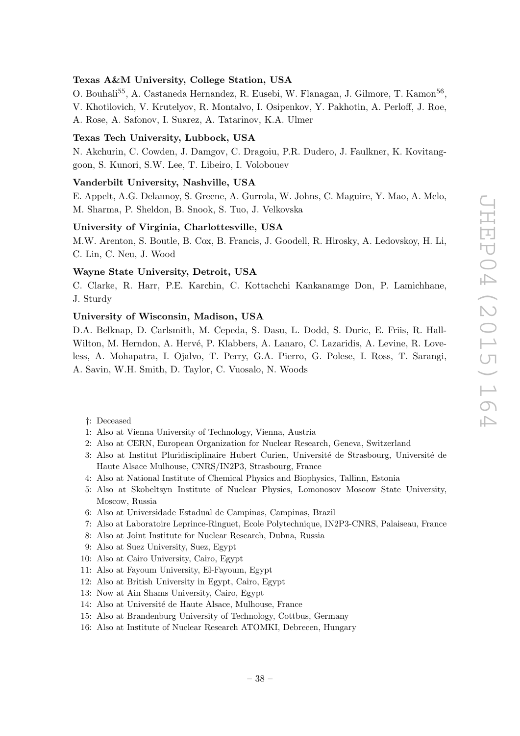# Texas A&M University, College Station, USA

O. Bouhali<sup>55</sup>, A. Castaneda Hernandez, R. Eusebi, W. Flanagan, J. Gilmore, T. Kamon<sup>56</sup>,

V. Khotilovich, V. Krutelyov, R. Montalvo, I. Osipenkov, Y. Pakhotin, A. Perloff, J. Roe, A. Rose, A. Safonov, I. Suarez, A. Tatarinov, K.A. Ulmer

### Texas Tech University, Lubbock, USA

N. Akchurin, C. Cowden, J. Damgov, C. Dragoiu, P.R. Dudero, J. Faulkner, K. Kovitanggoon, S. Kunori, S.W. Lee, T. Libeiro, I. Volobouev

#### Vanderbilt University, Nashville, USA

E. Appelt, A.G. Delannoy, S. Greene, A. Gurrola, W. Johns, C. Maguire, Y. Mao, A. Melo, M. Sharma, P. Sheldon, B. Snook, S. Tuo, J. Velkovska

#### University of Virginia, Charlottesville, USA

M.W. Arenton, S. Boutle, B. Cox, B. Francis, J. Goodell, R. Hirosky, A. Ledovskoy, H. Li, C. Lin, C. Neu, J. Wood

#### Wayne State University, Detroit, USA

C. Clarke, R. Harr, P.E. Karchin, C. Kottachchi Kankanamge Don, P. Lamichhane, J. Sturdy

### University of Wisconsin, Madison, USA

D.A. Belknap, D. Carlsmith, M. Cepeda, S. Dasu, L. Dodd, S. Duric, E. Friis, R. Hall-Wilton, M. Herndon, A. Hervé, P. Klabbers, A. Lanaro, C. Lazaridis, A. Levine, R. Loveless, A. Mohapatra, I. Ojalvo, T. Perry, G.A. Pierro, G. Polese, I. Ross, T. Sarangi, A. Savin, W.H. Smith, D. Taylor, C. Vuosalo, N. Woods

- †: Deceased
- 1: Also at Vienna University of Technology, Vienna, Austria
- 2: Also at CERN, European Organization for Nuclear Research, Geneva, Switzerland
- 3: Also at Institut Pluridisciplinaire Hubert Curien, Université de Strasbourg, Université de Haute Alsace Mulhouse, CNRS/IN2P3, Strasbourg, France
- 4: Also at National Institute of Chemical Physics and Biophysics, Tallinn, Estonia
- 5: Also at Skobeltsyn Institute of Nuclear Physics, Lomonosov Moscow State University, Moscow, Russia
- 6: Also at Universidade Estadual de Campinas, Campinas, Brazil
- 7: Also at Laboratoire Leprince-Ringuet, Ecole Polytechnique, IN2P3-CNRS, Palaiseau, France
- 8: Also at Joint Institute for Nuclear Research, Dubna, Russia
- 9: Also at Suez University, Suez, Egypt
- 10: Also at Cairo University, Cairo, Egypt
- 11: Also at Fayoum University, El-Fayoum, Egypt
- 12: Also at British University in Egypt, Cairo, Egypt
- 13: Now at Ain Shams University, Cairo, Egypt
- 14: Also at Université de Haute Alsace, Mulhouse, France
- 15: Also at Brandenburg University of Technology, Cottbus, Germany
- 16: Also at Institute of Nuclear Research ATOMKI, Debrecen, Hungary